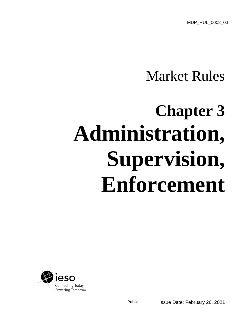## Market Rules

# **Chapter 3 Administration, Supervision, Enforcement**

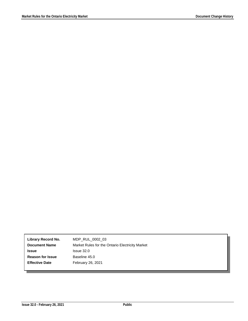**Library Record No.** MDP\_RUL\_0002\_03 **Issue** Issue 32.0 **Reason for Issue** Baseline 45.0 **Effective Date** February 26, 2021

**Document Name** Market Rules for the Ontario Electricity Market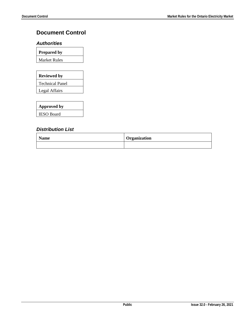#### **Document Control**

#### *Authorities*

**Prepared by** Market Rules

| <b>Reviewed by</b>     |
|------------------------|
| <b>Technical Panel</b> |
| Legal Affairs          |
|                        |

| <b>Approved by</b> |  |
|--------------------|--|
| <b>IESO</b> Board  |  |

#### *Distribution List*

| <b>Name</b> | Organization |  |  |
|-------------|--------------|--|--|
|             |              |  |  |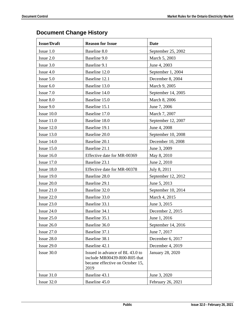| <b>Issue/Draft</b><br><b>Reason for Issue</b>                                                                            |               | <b>Date</b>        |  |  |
|--------------------------------------------------------------------------------------------------------------------------|---------------|--------------------|--|--|
| $I$ ssue $1.0$                                                                                                           | Baseline 8.0  | September 25, 2002 |  |  |
| Issue 2.0                                                                                                                | Baseline 9.0  | March 5, 2003      |  |  |
| Issue 3.0                                                                                                                | Baseline 9.1  | June 4, 2003       |  |  |
| Issue 4.0                                                                                                                | Baseline 12.0 | September 1, 2004  |  |  |
| Issue 5.0                                                                                                                | Baseline 12.1 | December 8, 2004   |  |  |
| Issue 6.0                                                                                                                | Baseline 13.0 | March 9, 2005      |  |  |
| Issue 7.0                                                                                                                | Baseline 14.0 | September 14, 2005 |  |  |
| Issue 8.0                                                                                                                | Baseline 15.0 | March 8, 2006      |  |  |
| Issue 9.0                                                                                                                | Baseline 15.1 | June 7, 2006       |  |  |
| Issue 10.0                                                                                                               | Baseline 17.0 | March 7, 2007      |  |  |
| Issue $11.0$                                                                                                             | Baseline 18.0 | September 12, 2007 |  |  |
| Issue $12.0$                                                                                                             | Baseline 19.1 | June 4, 2008       |  |  |
| Issue $13.0$                                                                                                             | Baseline 20.0 | September 10, 2008 |  |  |
| Issue $14.0$                                                                                                             | Baseline 20.1 | December 10, 2008  |  |  |
| $I$ ssue $15.0$                                                                                                          | Baseline 21.1 | June 3, 2009       |  |  |
| Issue $16.0$<br>Effective date for MR-00369                                                                              |               | May 8, 2010        |  |  |
| $I$ ssue 17.0<br>Baseline 23.1                                                                                           |               | June 2, 2010       |  |  |
| Issue 18.0<br>Effective date for MR-00378                                                                                |               | July 8, 2011       |  |  |
| Issue 19.0<br>Baseline 28.0                                                                                              |               | September 12, 2012 |  |  |
| Issue 20.0                                                                                                               | Baseline 29.1 | June 5, 2013       |  |  |
| Issue $21.0$<br>Baseline 32.0                                                                                            |               | September 10, 2014 |  |  |
| Issue $22.0$<br>Baseline 33.0                                                                                            |               | March 4, 2015      |  |  |
| Issue $23.0$                                                                                                             | Baseline 33.1 | June 3, 2015       |  |  |
| Issue $24.0$                                                                                                             | Baseline 34.1 | December 2, 2015   |  |  |
| Issue $25.0$                                                                                                             | Baseline 35.1 | June 1, 2016       |  |  |
| Issue $26.0$                                                                                                             | Baseline 36.0 | September 14, 2016 |  |  |
| Issue $27.0$                                                                                                             | Baseline 37.1 | June 7, 2017       |  |  |
| Issue 28.0<br>Baseline 38.1                                                                                              |               | December 6, 2017   |  |  |
| Issue $29.0$                                                                                                             | Baseline 42.1 | December 4, 2019   |  |  |
| Issue 30.0<br>Issued in advance of BL 43.0 to<br>include MR00439-R00-R05 that<br>became effective on October 15,<br>2019 |               | January 28, 2020   |  |  |
| Issue $31.0$                                                                                                             | Baseline 43.1 | June 3, 2020       |  |  |
| Issue 32.0                                                                                                               | Baseline 45.0 | February 26, 2021  |  |  |

#### **Document Change History**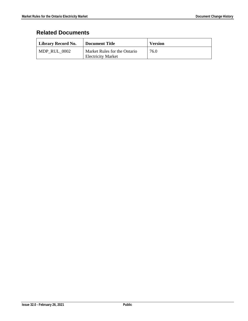#### **Related Documents**

| <b>Library Record No.</b> | Document Title               | <b>Version</b> |  |  |
|---------------------------|------------------------------|----------------|--|--|
| MDP RUL 0002              | Market Rules for the Ontario | 76.0           |  |  |
|                           | <b>Electricity Market</b>    |                |  |  |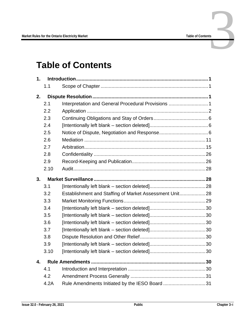### **Table of Contents**

| 1. |      |                                                         |  |
|----|------|---------------------------------------------------------|--|
|    | 1.1  |                                                         |  |
| 2. |      |                                                         |  |
|    | 2.1  | Interpretation and General Procedural Provisions 1      |  |
|    | 2.2  |                                                         |  |
|    | 2.3  |                                                         |  |
|    | 2.4  |                                                         |  |
|    | 2.5  |                                                         |  |
|    | 2.6  |                                                         |  |
|    | 2.7  |                                                         |  |
|    | 2.8  |                                                         |  |
|    | 2.9  |                                                         |  |
|    | 2.10 |                                                         |  |
| 3. |      |                                                         |  |
|    | 3.1  |                                                         |  |
|    | 3.2  | Establishment and Staffing of Market Assessment Unit 28 |  |
|    | 3.3  |                                                         |  |
|    | 3.4  |                                                         |  |
|    | 3.5  |                                                         |  |
|    | 3.6  |                                                         |  |
|    | 3.7  |                                                         |  |
|    | 3.8  |                                                         |  |
|    | 3.9  |                                                         |  |
|    | 3.10 |                                                         |  |
| 4. |      |                                                         |  |
|    | 4.1  |                                                         |  |
|    | 4.2  |                                                         |  |
|    | 4.2A | Rule Amendments Initiated by the IESO Board 31          |  |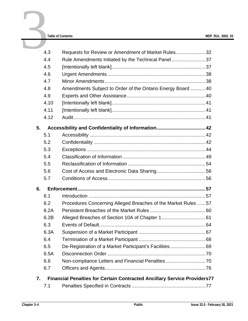|  | <b>Table of Contents</b> |
|--|--------------------------|
|  |                          |

|    |      | <b>Table of Contents</b>                                      | MDP_RUL_0002_03 |
|----|------|---------------------------------------------------------------|-----------------|
|    |      |                                                               |                 |
|    | 4.3  | Requests for Review or Amendment of Market Rules32            |                 |
|    | 4.4  | Rule Amendments Initiated by the Technical Panel37            |                 |
|    | 4.5  |                                                               |                 |
|    | 4.6  |                                                               |                 |
|    | 4.7  |                                                               |                 |
|    | 4.8  | Amendments Subject to Order of the Ontario Energy Board 40    |                 |
|    | 4.9  |                                                               |                 |
|    | 4.10 |                                                               |                 |
|    | 4.11 |                                                               |                 |
|    | 4.12 |                                                               |                 |
| 5. |      |                                                               |                 |
|    | 5.1  |                                                               |                 |
|    | 5.2  |                                                               |                 |
|    | 5.3  |                                                               |                 |
|    | 5.4  |                                                               |                 |
|    | 5.5  |                                                               |                 |
|    | 5.6  |                                                               |                 |
|    | 5.7  |                                                               |                 |
| 6. |      |                                                               |                 |
|    | 6.1  |                                                               |                 |
|    | 6.2  | Procedures Concerning Alleged Breaches of the Market Rules 57 |                 |
|    | 6.2A |                                                               |                 |
|    | 6.2B |                                                               |                 |
|    | 6.3  |                                                               |                 |
|    | 6.3A |                                                               |                 |
|    | 6.4  |                                                               |                 |
|    | 6.5  | De-Registration of a Market Participant's Facilities69        |                 |
|    | 6.5A |                                                               |                 |
|    | 6.6  | Non-compliance Letters and Financial Penalties 70             |                 |
|    |      |                                                               |                 |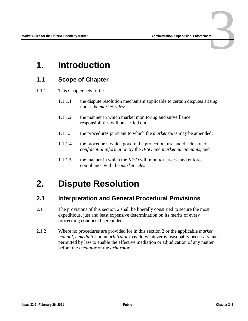### **1. Introduction**

#### **1.1 Scope of Chapter**

1.1.1 This Chapter sets forth:

- 1.1.1.1 the dispute resolution mechanism applicable to certain disputes arising under the *market rules*;
- 1.1.1.2 the manner in which market monitoring and surveillance responsibilities will be carried out;
- 1.1.1.3 the procedures pursuant to which the *market rules* may be amended;
- 1.1.1.4 the procedures which govern the protection, use and disclosure of *confidential information* by the *IESO* and *market participants*; and
- 1.1.1.5 the manner in which the *IESO* will monitor, assess and enforce compliance with the *market rules*.

### **2. Dispute Resolution**

#### **2.1 Interpretation and General Procedural Provisions**

- 2.1.1 The provisions of this section 2 shall be liberally construed to secure the most expeditious, just and least expensive determination on its merits of every proceeding conducted hereunder.
- 2.1.2 Where no procedures are provided for in this section 2 or the applicable *market manual*, a *mediator* or an *arbitrator* may do whatever is reasonably necessary and permitted by law to enable the effective mediation or adjudication of any matter before the *mediator* or the *arbitrator*.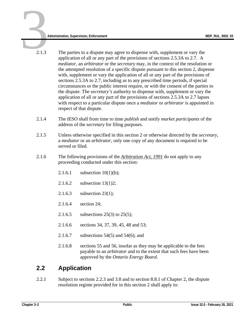- Administration, Supervision, Enforcement<br>
2.1.3 The parties to a dispute may agree to dispense with, supplement or vary the<br>
application of all or any part of the provisions of sections 2.5.3A to 2.7. A 2.1.3 The parties to a dispute may agree to dispense with, supplement or vary the application of all or any part of the provisions of sections 2.5.3A to 2.7. A *mediator,* an *arbitrator* or the *secretary* may, in the context of the resolution or the attempted resolution of a specific dispute pursuant to this section 2, dispense with, supplement or vary the application of all or any part of the provisions of sections 2.5.3A to 2.7, including as to any prescribed time periods, if special circumstances or the public interest require, or with the consent of the parties to the dispute. The *secretary's* authority to dispense with, supplement or vary the application of all or any part of the provisions of sections 2.5.3A to 2.7 lapses with respect to a particular dispute once a *mediator* or *arbitrator* is appointed in respect of that dispute.
	- 2.1.4 The *IESO* shall from time to time *publish* and notify *market participants* of the address of the *secretary* for filing purposes.
	- 2.1.5 Unless otherwise specified in this section 2 or otherwise directed by the *secretary*, a *mediator* or an *arbitrator*, only one copy of any document is required to be served or filed.
	- 2.1.6 The following provisions of the *Arbitration Act, 1991* do not apply to any proceeding conducted under this section:
		- 2.1.6.1 subsection  $10(1)(b)$ ;
		- 2.1.6.2 subsection 13(1)2;
		- 2.1.6.3 subsection 23(1);
		- 2.1.6.4 section 24;
		- 2.1.6.5 subsections 25(3) to 25(5);
		- 2.1.6.6 sections 34, 37, 39, 45, 48 and 53;
		- 2.1.6.7 subsections 54(5) and 54(6); and
		- 2.1.6.8 sections 55 and 56, insofar as they may be applicable to the fees payable to an *arbitrator* and to the extent that such fees have been approved by the *Ontario Energy Board*.

#### **2.2 Application**

2.2.1 Subject to sections 2.2.3 and 3.8 and to section 8.8.1 of Chapter 2, the dispute resolution regime provided for in this section 2 shall apply to: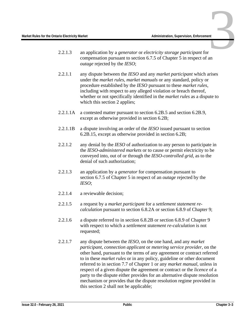- Market Rules for the Ontario Electricity Market<br>
2.2.1.3 an application by a *generator* or *electricity storage participant* for<br>
2.2.1.3 an application by a *generator* or *electricity storage participant* for<br>
compensat 2.2.1.3 an application by a *generator* or *electricity storage participant* for compensation pursuant to section 6.7.5 of Chapter 5 in respect of an *outage* rejected by the *IESO*;
	- 2.2.1.1 any dispute between the *IESO* and any *market participant* which arises under the *market rules*, *market manuals* or any standard, policy or procedure established by the *IESO* pursuant to these *market rules*, including with respect to any alleged violation or breach thereof, whether or not specifically identified in the *market rules* as a dispute to which this section 2 applies;
	- 2.2.1.1A a contested matter pursuant to section 6.2B.5 and section 6.2B.9, except as otherwise provided in section 6.2B;
	- 2.2.1.1B a dispute involving an order of the *IESO* issued pursuant to section 6.2B.15, except as otherwise provided in section 6.2B;
	- 2.2.1.2 any denial by the *IESO* of authorization to any person to participate in the *IESO-administered markets* or to cause or permit electricity to be conveyed into, out of or through the *IESO-controlled grid*, as to the denial of such authorization;
	- 2.2.1.3 an application by a *generator* for compensation pursuant to section 6.7.5 of Chapter 5 in respect of an *outage* rejected by the *IESO*;
	- 2.2.1.4 a reviewable decision;
	- 2.2.1.5 a request by a *market participant* for a *settlement statement recalculation* pursuant to section 6.8.2A or section 6.8.9 of Chapter 9;
	- 2.2.1.6 a dispute referred to in section 6.8.2B or section 6.8.9 of Chapter 9 with respect to which a *settlement statement re-calculation* is not requested;
	- 2.2.1.7 any dispute between the *IESO*, on the one hand, and any *market participant*, *connection applicant* or *metering service provider*, on the other hand, pursuant to the terms of any agreement or contract referred to in these *market rules* or in any policy, guideline or other document referred to in section 7.7 of Chapter 1 or any *market manual*, unless in respect of a given dispute the agreement or contract or the *licence* of a party to the dispute either provides for an alternative dispute resolution mechanism or provides that the dispute resolution regime provided in this section 2 shall not be applicable;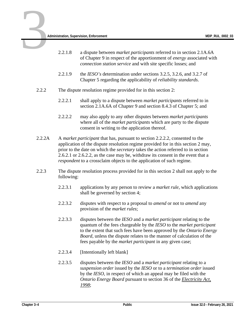- Administration, Supervision, Enforcement<br>
2.2.1.8 a dispute between *market participants* referred to in section 2.1A.6A<br>
of Chapter 9 in respect of the apportionment of *energy* associated with 2.2.1.8 a dispute between *market participants* referred to in section 2.1A.6A of Chapter 9 in respect of the apportionment of *energy* associated with *connection station service* and with site specific losses; and
	- 2.2.1.9 the *IESO's* determination under sections 3.2.5, 3.2.6, and 3.2.7 of Chapter 5 regarding the applicability of *reliability standards*.
	- 2.2.2 The dispute resolution regime provided for in this section 2:
		- 2.2.2.1 shall apply to a dispute between *market participants* referred to in section 2.1A.6A of Chapter 9 and section 8.4.3 of Chapter 5; and
		- 2.2.2.2 may also apply to any other disputes between *market participants* where all of the *market participants* which are party to the dispute consent in writing to the application thereof.
	- 2.2.2A A *market participant* that has, pursuant to section 2.2.2.2, consented to the application of the dispute resolution regime provided for in this section 2 may, prior to the date on which the *secretary* takes the action referred to in section 2.6.2.1 or 2.6.2.2, as the case may be, withdraw its consent in the event that a *respondent* to a crossclaim objects to the application of such regime.
	- 2.2.3 The dispute resolution process provided for in this section 2 shall not apply to the following:
		- 2.2.3.1 applications by any person to review a *market rule*, which applications shall be governed by section 4;
		- 2.2.3.2 disputes with respect to a proposal to *amend* or not to *amend* any provision of the *market rules*;
		- 2.2.3.3 disputes between the *IESO* and a *market participant* relating to the quantum of the fees chargeable by the *IESO* to the *market participant* to the extent that such fees have been approved by the *Ontario Energy Board*, unless the dispute relates to the manner of calculation of the fees payable by the *market participant* in any given case;
		- 2.2.3.4 [Intentionally left blank]
		- 2.2.3.5 disputes between the *IESO* and a *market participant* relating to a *suspension order* issued by the *IESO* or to a *termination order* issued by the *IESO*, in respect of which an appeal may be filed with the *Ontario Energy Board* pursuant to section 36 of the *Electricity Act, 1998*;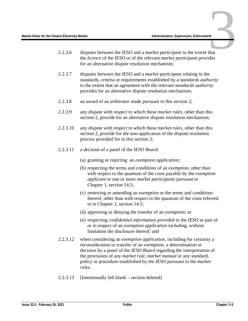- **Market Rules for the Ontario Electricity Market**<br>
2.2.3.6 disputes between the *IESO* and a market participant to the extent that<br>
the *licence* of the *IESO* or of the relevant market participant provides 2.2.3.6 disputes between the *IESO* and a *market participant* to the extent that the *licence* of the *IESO* or of the relevant *market participant* provides for an alternative dispute resolution mechanism;
	- 2.2.3.7 disputes between the *IESO* and a *market participant* relating to the standards, criteria or requirements established by a *standards authority* to the extent that an agreement with the relevant *standards authority* provides for an alternative dispute resolution mechanism;
	- 2.2.3.8 an award of an *arbitrator* made pursuant to this section 2;
	- 2.2.3.9 any dispute with respect to which these *market rules,* other than this section 2, provide for an alternative dispute resolution mechanism;
	- 2.2.3.10 any dispute with respect to which these *market rules,* other than this section 2, provide for the non-application of the dispute resolution process provided for in this section 2;
	- 2.2.3.11 a decision of a panel of the *IESO Board*:
		- (a) granting or rejecting an *exemption application*;
		- (b) respecting the terms and conditions of an *exemption*, other than with respect to the quantum of the costs payable by the *exemption applicant* or one or more *market participants* pursuant to Chapter 1, section 14.5;
		- (c) removing or amending an *exemption* or the terms and conditions thereof, other than with respect to the quantum of the costs referred to in Chapter 1, section 14.5;
		- (d) approving or denying the transfer of an *exemption*; or
		- (e) respecting *confidential information* provided to the *IESO* as part of or in respect of an *exemption application* including, without limitation the disclosure thereof; and
	- 2.2.3.12 when considering an *exemption application*, including for certainty a reconsideration or transfer of an *exemption*, a determination or decision by a panel of the *IESO Board* regarding the interpretation of the provisions of any *market rule, market manual* or any standard, policy or procedure established by the *IESO* pursuant to the *market rules*.
	- 2.2.3.13 [Intentionally left blank section deleted]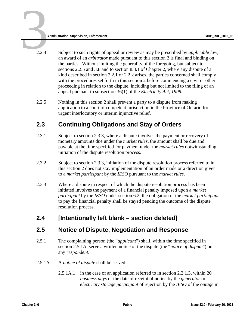- Administration, Supervision, Enforcement<br>
2.2.4 Subject to such rights of appeal or review as may be prescribed by *applicable law*,<br>
an award of an *arbitrator* made pursuant to this section 2 is final and binding on 2.2.4 Subject to such rights of appeal or review as may be prescribed by *applicable law,*  an award of an *arbitrator* made pursuant to this section 2 is final and binding on the parties. Without limiting the generality of the foregoing, but subject to sections 2.2.5 and 3.8 and to section 8.8.1 of Chapter 2, where any dispute of a kind described in section 2.2.1 or 2.2.2 arises, the parties concerned shall comply with the procedures set forth in this section 2 before commencing a civil or other proceeding in relation to the dispute, including but not limited to the filing of an appeal pursuant to subsection 36(1) of the *Electricity Act, 1998*.
	- 2.2.5 Nothing in this section 2 shall prevent a party to a dispute from making application to a court of competent jurisdiction in the Province of Ontario for urgent interlocutory or interim injunctive relief.

#### **2.3 Continuing Obligations and Stay of Orders**

- 2.3.1 Subject to section 2.3.3, where a dispute involves the payment or recovery of monetary amounts due under the *market rules*, the amount shall be due and payable at the time specified for payment under the *market rules* notwithstanding initiation of the dispute resolution process.
- 2.3.2 Subject to section 2.3.3, initiation of the dispute resolution process referred to in this section 2 does not stay implementation of an order made or a direction given to a *market participant* by the *IESO* pursuant to the *market rules*.
- 2.3.3 Where a dispute in respect of which the dispute resolution process has been initiated involves the payment of a financial penalty imposed upon a *market participant* by the *IESO* under section 6.2, the obligation of the *market participant* to pay the financial penalty shall be stayed pending the outcome of the dispute resolution process.

#### **2.4 [Intentionally left blank – section deleted]**

#### **2.5 Notice of Dispute, Negotiation and Response**

- 2.5.1 The complaining person (the "*applicant*") shall, within the time specified in section 2.5.1A, serve a written notice of the dispute (the "*notice of dispute*") on any *respondent*.
- 2.5.1A A *notice of dispute* shall be served:
	- 2.5.1A.1 in the case of an application referred to in section 2.2.1.3, within 20 *business days* of the date of receipt of notice by the *generator* or *electricity storage participant* of rejection by the *IESO* of the *outage* in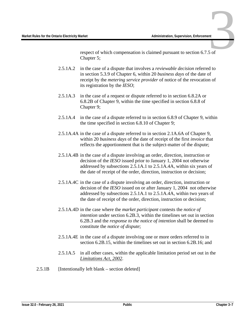Market Rules for the Ontario Electricity Market<br> **Administration, Supervision, Enforcement**<br> **Administration, Supervision, Enforcement**<br> **Prespect of which compensation is claimed pursuant to section 6.7.5 of**<br> **Chapter 5;** respect of which compensation is claimed pursuant to section 6.7.5 of Chapter 5;

- 2.5.1A.2 in the case of a dispute that involves a *reviewable decision* referred to in section 5.3.9 of Chapter 6, within 20 *business days* of the date of receipt by the *metering service provider* of notice of the revocation of its registration by the *IESO*;
- 2.5.1A.3 in the case of a request or dispute referred to in section 6.8.2A or 6.8.2B of Chapter 9, within the time specified in section 6.8.8 of Chapter 9;
- 2.5.1A.4 in the case of a dispute referred to in section 6.8.9 of Chapter 9, within the time specified in section 6.8.10 of Chapter 9;
- 2.5.1A.4A in the case of a dispute referred to in section 2.1A.6A of Chapter 9, within 20 *business days* of the date of receipt of the first *invoice* that reflects the apportionment that is the subject-matter of the dispute;
- 2.5.1A.4B in the case of a dispute involving an order, direction, instruction or decision of the *IESO* issued prior to January 1, 2004 not otherwise addressed by subsections 2.5.1A.1 to 2.5.1A.4A, within six years of the date of receipt of the order, direction, instruction or decision;
- 2.5.1A.4C in the case of a dispute involving an order, direction, instruction or decision of the *IESO* issued on or after January 1, 2004 not otherwise addressed by subsections 2.5.1A.1 to 2.5.1A.4A, within two years of the date of receipt of the order, direction, instruction or decision;
- 2.5.1A.4D in the case where the *market participant* contests the *notice of intention* under section 6.2B.3, within the timelines set out in section 6.2B.3 and the *response to the notice of intention* shall be deemed to constitute the *notice of dispute*;
- 2.5.1A.4E in the case of a dispute involving one or more orders referred to in section 6.2B.15, within the timelines set out in section 6.2B.16; and
- 2.5.1A.5 in all other cases, within the applicable limitation period set out in the *Limitations Act, 2002*.
- 2.5.1B [Intentionally left blank section deleted]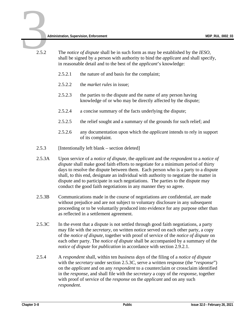- Administration, Supervision, Enforcement<br>
2.5.2 The *notice of dispute* shall be in such form as may be established by the *IESO*,<br>
shall be signed by a person with authority to bind the *applicant* and shall specify, 2.5.2 The *notice of dispute* shall be in such form as may be established by the *IESO,*  shall be signed by a person with authority to bind the *applicant* and shall specify, in reasonable detail and to the best of the *applicant*'s knowledge:
	- 2.5.2.1 the nature of and basis for the complaint;
	- 2.5.2.2 the *market rules* in issue;
	- 2.5.2.3 the parties to the dispute and the name of any person having knowledge of or who may be directly affected by the dispute;
	- 2.5.2.4 a concise summary of the facts underlying the dispute;
	- 2.5.2.5 the relief sought and a summary of the grounds for such relief; and
	- 2.5.2.6 any documentation upon which the *applicant* intends to rely in support of its complaint.
	- 2.5.3 [Intentionally left blank section deleted]
	- 2.5.3A Upon service of a *notice of dispute,* the *applicant* and the *respondent* to a *notice of dispute* shall make good faith efforts to negotiate for a minimum period of thirty days to resolve the dispute between them. Each person who is a party to a dispute shall, to this end, designate an individual with authority to negotiate the matter in dispute and to participate in such negotiations. The parties to the dispute may conduct the good faith negotiations in any manner they so agree.
	- 2.5.3B Communications made in the course of negotiations are confidential, are made without prejudice and are not subject to voluntary disclosure in any subsequent proceeding or to be voluntarily produced into evidence for any purpose other than as reflected in a settlement agreement.
	- 2.5.3C In the event that a dispute is not settled through good faith negotiations, a party may file with the *secretary,* on written notice served on each other party, a copy of the *notice of dispute,* together with proof of service of the *notice of dispute* on each other party. The *notice of dispute* shall be accompanied by a summary of the *notice of dispute* for *publication* in accordance with section 2.9.2.1.
	- 2.5.4 A *respondent* shall, within ten *business days* of the filing of a *notice of dispute* with the *secretary* under section 2.5.3C, serve a written response (the "*response*") on the *applicant* and on any *respondent* to a counterclaim or crossclaim identified in the *response*, and shall file with the *secretary* a copy of the *response,* together with proof of service of the *response* on the *applicant* and on any such *respondent*.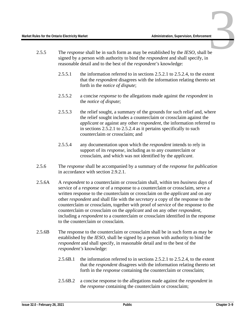- Market Rules for the Ontario Electricity Market<br>
2.5.5 The *response* shall be in such form as may be established by the *IESO*, shall be<br>
signed by a person with authority to bind the *respondent* and shall specify, in 2.5.5 The *response* shall be in such form as may be established by the *IESO*, shall be signed by a person with authority to bind the *respondent* and shall specify, in reasonable detail and to the best of the *respondent's* knowledge:
	- 2.5.5.1 the information referred to in sections 2.5.2.1 to 2.5.2.4, to the extent that the *respondent* disagrees with the information relating thereto set forth in the *notice of dispute*;
	- 2.5.5.2 a concise *response* to the allegations made against the *respondent* in the *notice of dispute*;
	- 2.5.5.3 the relief sought, a summary of the grounds for such relief and, where the relief sought includes a counterclaim or crossclaim against the *applicant* or against any other *respondent*, the information referred to in sections 2.5.2.1 to 2.5.2.4 as it pertains specifically to such counterclaim or crossclaim; and
	- 2.5.5.4 any documentation upon which the *respondent* intends to rely in support of its *response*, including as to any counterclaim or crossclaim, and which was not identified by the *applicant*.
	- 2.5.6 The *response* shall be accompanied by a summary of the *response* for *publication* in accordance with section 2.9.2.1.
	- 2.5.6A A *respondent* to a counterclaim or crossclaim shall, within ten *business days* of service of a *response* or of a response to a counterclaim or crossclaim, serve a written response to the counterclaim or crossclaim on the *applicant* and on any other *respondent* and shall file with the *secretary* a copy of the response to the counterclaim or crossclaim, together with proof of service of the response to the counterclaim or crossclaim on the *applicant* and on any other *respondent*, including a *respondent* to a counterclaim or crossclaim identified in the response to the counterclaim or crossclaim.
	- 2.5.6B The response to the counterclaim or crossclaim shall be in such form as may be established by the *IESO*, shall be signed by a person with authority to bind the *respondent* and shall specify, in reasonable detail and to the best of the *respondent's* knowledge:
		- 2.5.6B.1 the information referred to in sections 2.5.2.1 to 2.5.2.4, to the extent that the *respondent* disagrees with the information relating thereto set forth in the *response* containing the counterclaim or crossclaim;
		- 2.5.6B.2 a concise response to the allegations made against the *respondent* in the *response* containing the counterclaim or crossclaim;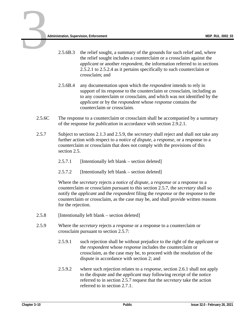- Administration, Supervision, Enforcement<br>
2.5.6B.3 the relief sought, a summary of the grounds for such relief and, where<br>
the relief sought includes a counterclaim or a crossclaim against the 2.5.6B.3 the relief sought, a summary of the grounds for such relief and, where the relief sought includes a counterclaim or a crossclaim against the *applicant* or another *respondent*, the information referred to in sections 2.5.2.1 to 2.5.2.4 as it pertains specifically to such counterclaim or crossclaim; and
	- 2.5.6B.4 any documentation upon which the *respondent* intends to rely in support of its response to the counterclaim or crossclaim, including as to any counterclaim or crossclaim, and which was not identified by the *applicant* or by the *respondent* whose *response* contains the counterclaim or crossclaim.
	- 2.5.6C The response to a counterclaim or crossclaim shall be accompanied by a summary of the response for *publication* in accordance with section 2.9.2.1.
	- 2.5.7 Subject to sections 2.1.3 and 2.5.9, the *secretary* shall reject and shall not take any further action with respect to a *notice of dispute*, a *response*, or a response to a counterclaim or crossclaim that does not comply with the provisions of this section 2.5.
		- 2.5.7.1 [Intentionally left blank section deleted]
		- 2.5.7.2 [Intentionally left blank section deleted]

Where the *secretary* rejects a *notice of dispute*, a *response* or a response to a counterclaim or crossclaim pursuant to this section 2.5.7, the *secretary* shall so notify the *applicant* and the *respondent* filing the *response* or the response to the counterclaim or crossclaim, as the case may be, and shall provide written reasons for the rejection.

- 2.5.8 [Intentionally left blank section deleted]
- 2.5.9 Where the *secretary* rejects a *response* or a response to a counterclaim or crossclaim pursuant to section 2.5.7:
	- 2.5.9.1 such rejection shall be without prejudice to the right of the *applicant* or the *respondent* whose *response* includes the counterclaim or crossclaim, as the case may be, to proceed with the resolution of the dispute in accordance with section 2; and
	- 2.5.9.2 where such rejection relates to a *response*, section 2.6.1 shall not apply to the dispute and the *applicant* may following receipt of the notice referred to in section 2.5.7 request that the *secretary* take the action referred to in section 2.7.1.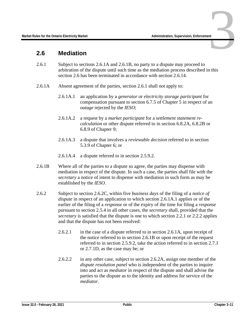# Market Rules for the Ontario Electricity Market<br> **2.6** Mediation<br> **Mediation 2.6 Mediation**

- 2.6.1 Subject to sections 2.6.1A and 2.6.1B, no party to a dispute may proceed to arbitration of the dispute until such time as the mediation process described in this section 2.6 has been terminated in accordance with section 2.6.14.
- 2.6.1A Absent agreement of the parties, section 2.6.1 shall not apply to:
	- 2.6.1A.1 an application by a *generator* or *electricity storage participant* for compensation pursuant to section 6.7.5 of Chapter 5 in respect of an *outage* rejected by the *IESO*;
	- 2.6.1A.2 a request by a *market participant* for a *settlement statement recalculation* or other dispute referred to in section 6.8.2A, 6.8.2B or 6.8.9 of Chapter 9;
	- 2.6.1A.3 a dispute that involves a *reviewable decision* referred to in section 5.3.9 of Chapter 6; or
	- 2.6.1A.4 a dispute referred to in section 2.5.9.2.
- 2.6.1B Where all of the parties to a dispute so agree, the parties may dispense with mediation in respect of the dispute. In such a case, the parties shall file with the *secretary* a notice of intent to dispense with mediation in such form as may be established by the *IESO*.
- 2.6.2 Subject to section 2.6.2C, within five *business days* of the filing of a *notice of dispute* in respect of an application to which section 2.6.1A.1 applies or of the earlier of the filing of a *response* or of the expiry of the time for filing a *response*  pursuant to section 2.5.4 in all other cases, the *secretary* shall, provided that the *secretary* is satisfied that the dispute is one to which section 2.2.1 or 2.2.2 applies and that the dispute has not been resolved:
	- 2.6.2.1 in the case of a dispute referred to in section 2.6.1A, upon receipt of the notice referred to in section 2.6.1B or upon receipt of the request referred to in section 2.5.9.2, take the action referred to in section 2.7.1 or 2.7.1D, as the case may be; or
	- 2.6.2.2 in any other case, subject to section 2.6.2A, assign one member of the *dispute resolution panel* who is independent of the parties to inquire into and act as *mediator* in respect of the dispute and shall advise the parties to the dispute as to the identity and address for service of the *mediator*.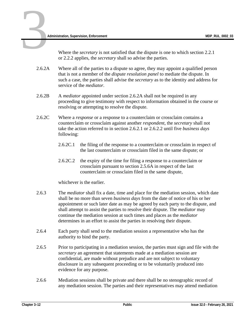Administration, Supervision, Enforcement<br>
Where the *secretary* is not satisfied that the dispute is one to which section 2.2.1<br>
or 2.2.2 applies, the *secretary* shall so advise the parties. Where the *secretary* is not satisfied that the dispute is one to which section 2.2.1 or 2.2.2 applies, the *secretary* shall so advise the parties.

- 2.6.2A Where all of the parties to a dispute so agree, they may appoint a qualified person that is not a member of the *dispute resolution panel* to mediate the dispute. In such a case, the parties shall advise the *secretary* as to the identity and address for service of the *mediator*.
- 2.6.2B A *mediator* appointed under section 2.6.2A shall not be required in any proceeding to give testimony with respect to information obtained in the course or resolving or attempting to resolve the dispute.
- 2.6.2C Where a *response* or a response to a counterclaim or crossclaim contains a counterclaim or crossclaim against another *respondent*, the *secretary* shall not take the action referred to in section 2.6.2.1 or 2.6.2.2 until five *business days*  following:
	- 2.6.2C.1 the filing of the response to a counterclaim or crossclaim in respect of the last counterclaim or crossclaim filed in the same dispute; or
	- 2.6.2C.2 the expiry of the time for filing a response to a counterclaim or crossclaim pursuant to section 2.5.6A in respect of the last counterclaim or crossclaim filed in the same dispute,

whichever is the earlier.

- 2.6.3 The *mediator* shall fix a date, time and place for the mediation session, which date shall be no more than seven *business days* from the date of notice of his or her appointment or such later date as may be agreed by each party to the dispute, and shall attempt to assist the parties to resolve their dispute. The *mediator* may continue the mediation session at such times and places as the *mediator*  determines in an effort to assist the parties in resolving their dispute.
- 2.6.4 Each party shall send to the mediation session a representative who has the authority to bind the party.
- 2.6.5 Prior to participating in a mediation session, the parties must sign and file with the *secretary* an agreement that statements made at a mediation session are confidential, are made without prejudice and are not subject to voluntary disclosure in any subsequent proceeding or to be voluntarily produced into evidence for any purpose.
- 2.6.6 Mediation sessions shall be private and there shall be no stenographic record of any mediation session. The parties and their representatives may attend mediation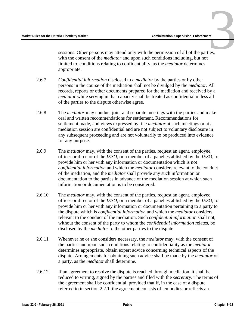Market Rules for the Ontario Electricity Market<br>
Sessions. Other persons may attend only with the permission of all of the parties,<br>
with the consent of the *mediator* and upon such conditions including, but not sessions. Other persons may attend only with the permission of all of the parties, with the consent of the *mediator* and upon such conditions including, but not limited to, conditions relating to confidentiality, as the *mediator* determines appropriate.

- 2.6.7 *Confidential information* disclosed to a *mediator* by the parties or by other persons in the course of the mediation shall not be divulged by the *mediator*. All records, reports or other documents prepared for the mediation and received by a *mediator* while serving in that capacity shall be treated as confidential unless all of the parties to the dispute otherwise agree.
- 2.6.8 The *mediator* may conduct joint and separate meetings with the parties and make oral and written recommendations for settlement. Recommendations for settlement made, and views expressed by, the *mediator* at such meetings or at a mediation session are confidential and are not subject to voluntary disclosure in any subsequent proceeding and are not voluntarily to be produced into evidence for any purpose.
- 2.6.9 The *mediator* may, with the consent of the parties, request an agent, employee, officer or director of the *IESO*, or a member of a panel established by the *IESO*, to provide him or her with any information or documentation which is not *confidential information* and which the *mediator* considers relevant to the conduct of the mediation, and the *mediator* shall provide any such information or documentation to the parties in advance of the mediation session at which such information or documentation is to be considered.
- 2.6.10 The *mediator* may, with the consent of the parties, request an agent, employee, officer or director of the *IESO*, or a member of a panel established by the *IESO*, to provide him or her with any information or documentation pertaining to a party to the dispute which is *confidential information* and which the *mediator* considers relevant to the conduct of the mediation. Such *confidential information* shall not, without the consent of the party to whom the *confidential information* relates, be disclosed by the *mediator* to the other parties to the dispute.
- 2.6.11 Whenever he or she considers necessary, the *mediator* may, with the consent of the parties and upon such conditions relating to confidentiality as the *mediator* determines appropriate, obtain expert advice concerning technical aspects of the dispute. Arrangements for obtaining such advice shall be made by the *mediator* or a party, as the *mediator* shall determine.
- 2.6.12 If an agreement to resolve the dispute is reached through mediation, it shall be reduced to writing, signed by the parties and filed with the *secretary*. The terms of the agreement shall be confidential, provided that if, in the case of a dispute referred to in section 2.2.1, the agreement consists of, embodies or reflects an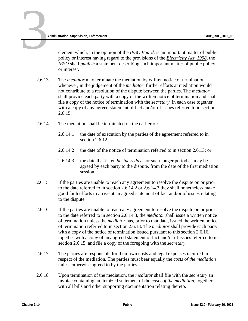Administration, Supervision, Enforcement<br>
element which, in the opinion of the *IESO Board*, is an important matter of public<br>
policy or interest having regard to the provisions of the <u>Electricity Act, 1998</u>, the element which, in the opinion of the *IESO Board*, is an important matter of public policy or interest having regard to the provisions of the *Electricity Act, 1998*, the *IESO* shall *publish* a statement describing such important matter of public policy or interest.

- 2.6.13 The *mediator* may terminate the mediation by written notice of termination whenever, in the judgement of the *mediator*, further efforts at mediation would not contribute to a resolution of the dispute between the parties. The *mediator* shall provide each party with a copy of the written notice of termination and shall file a copy of the notice of termination with the *secretary*, in each case together with a copy of any agreed statement of fact and/or of issues referred to in section 2.6.15.
- 2.6.14 The mediation shall be terminated on the earlier of:
	- 2.6.14.1 the date of execution by the parties of the agreement referred to in section 2.6.12;
	- 2.6.14.2 the date of the notice of termination referred to in section 2.6.13; or
	- 2.6.14.3 the date that is ten *business days*, or such longer period as may be agreed by each party to the dispute, from the date of the first mediation session.
- 2.6.15 If the parties are unable to reach any agreement to resolve the dispute on or prior to the date referred to in section 2.6.14.2 or 2.6.14.3 they shall nonetheless make good faith efforts to arrive at an agreed statement of fact and/or of issues relating to the dispute.
- 2.6.16 If the parties are unable to reach any agreement to resolve the dispute on or prior to the date referred to in section 2.6.14.3, the *mediator* shall issue a written notice of termination unless the *mediator* has, prior to that date, issued the written notice of termination referred to in section 2.6.13. The *mediator* shall provide each party with a copy of the notice of termination issued pursuant to this section 2.6.16, together with a copy of any agreed statement of fact and/or of issues referred to in section 2.6.15, and file a copy of the foregoing with the *secretary*.
- 2.6.17 The parties are responsible for their own costs and legal expenses incurred in respect of the mediation. The parties must bear equally the *costs of the mediation*  unless otherwise agreed to by the parties.
- 2.6.18 Upon termination of the mediation, the *mediator* shall file with the *secretary* an invoice containing an itemized statement of the *costs of the mediation*, together with all bills and other supporting documentation relating thereto.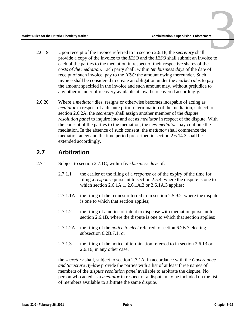- **Market Rules for the Ontario Electricity Market**<br>
2.6.19 Upon receipt of the invoice referred to in section 2.6.18, the *secretary* shall<br>
provide a copy of the invoice to the *IESO* and the *IESO* shall submit an invoice 2.6.19 Upon receipt of the invoice referred to in section 2.6.18, the *secretary* shall provide a copy of the invoice to the *IESO* and the *IESO* shall submit an invoice to each of the parties to the mediation in respect of their respective shares of the *costs of the mediation*. Each party shall, within *ten business days* of the date of receipt of such invoice, pay to the *IESO* the amount owing thereunder. Such invoice shall be considered to create an obligation under the *market rules* to pay the amount specified in the invoice and such amount may, without prejudice to any other manner of recovery available at law, be recovered accordingly.
	- 2.6.20 Where a *mediator* dies, resigns or otherwise becomes incapable of acting as *mediator* in respect of a dispute prior to termination of the mediation, subject to section 2.6.2A, the *secretary* shall assign another member of the *dispute resolution panel* to inquire into and act as *mediator* in respect of the dispute. With the consent of the parties to the mediation, the new *mediator* may continue the mediation. In the absence of such consent, the *mediator* shall commence the mediation anew and the time period prescribed in section 2.6.14.3 shall be extended accordingly.

#### **2.7 Arbitration**

- 2.7.1 Subject to section 2.7.1C, within five *business days* of:
	- 2.7.1.1 the earlier of the filing of a *response* or of the expiry of the time for filing a *response* pursuant to section 2.5.4, where the dispute is one to which section 2.6.1A.1, 2.6.1A.2 or 2.6.1A.3 applies;
	- 2.7.1.1A the filing of the request referred to in section 2.5.9.2, where the dispute is one to which that section applies;
	- 2.7.1.2 the filing of a notice of intent to dispense with mediation pursuant to section 2.6.1B, where the dispute is one to which that section applies;
	- 2.7.1.2A the filing of the *notice to elect* referred to section 6.2B.7 electing subsection 6.2B.7.1; or
	- 2.7.1.3 the filing of the notice of termination referred to in section 2.6.13 or 2.6.16, in any other case,

the *secretary* shall, subject to section 2.7.1A, in accordance with the *Governance and Structure By-law* provide the parties with a list of at least three names of members of the *dispute resolution panel* available to arbitrate the dispute. No person who acted as a *mediator* in respect of a dispute may be included on the list of members available to arbitrate the same dispute.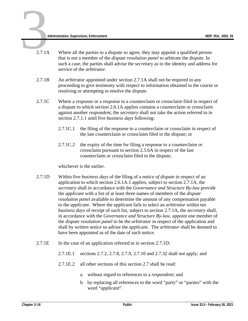- Administration, Supervision, Enforcement<br>
2.7.1A Where all the parties to a dispute so agree, they may appoint a qualified person<br>
that is not a member of the *dispute resolution panel* to arbitrate the dispute. In 2.7.1A Where all the parties to a dispute so agree, they may appoint a qualified person that is not a member of the *dispute resolution panel* to arbitrate the dispute. In such a case, the parties shall advise the *secretary* as to the identity and address for service of the *arbitrator*.
	- 2.7.1B An *arbitrator* appointed under section 2.7.1A shall not be required in any proceeding to give testimony with respect to information obtained in the course or resolving or attempting to resolve the dispute.
	- 2.7.1C Where a *response* or a response to a counterclaim or crossclaim filed in respect of a dispute to which section 2.6.1A applies contains a counterclaim or crossclaim against another *respondent*, the *secretary* shall not take the action referred to in section 2.7.1.1 until five *business days* following:
		- 2.7.1C.1 the filing of the response to a counterclaim or crossclaim in respect of the last counterclaim or crossclaim filed in the dispute; or
		- 2.7.1C.2 the expiry of the time for filing a response to a counterclaim or crossclaim pursuant to section 2.5.6A in respect of the last counterclaim or crossclaim filed in the dispute,

whichever is the earlier.

- 2.7.1D Within five *business days* of the filing of a *notice of dispute* in respect of an application to which section 2.6.1A.1 applies, subject to section 2.7.1A, the *secretary* shall in accordance with the *Governance and Structure By-law* provide the *applicant* with a list of at least three names of members of the *dispute resolution panel* available to determine the amount of any compensation payable to the *applicant*. Where the *applicant* fails to select an *arbitrator* within ten *business days* of receipt of such list, subject to section 2.7.1A, the *secretary* shall, in accordance with the *Governance and Structure By-law*, appoint one member of the *dispute resolution panel* to be the *arbitrator* in respect of the application and shall by written notice so advise the *applicant*. The *arbitrator* shall be deemed to have been appointed as of the date of such notice.
- 2.7.1E In the case of an application referred to in section 2.7.1D:
	- 2.7.1E.1 sections 2.7.2, 2.7.8, 2.7.9, 2.7.10 and 2.7.32 shall not apply; and
	- 2.7.1E.2 all other sections of this section 2.7 shall be read:
		- a. without regard to references to a *respondent*; and
		- b. by replacing all references to the word "party" or "parties" with the word "*applicant*".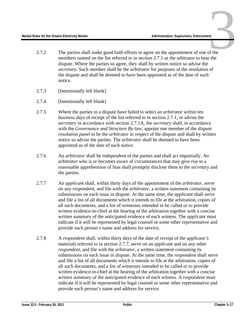- Market Rules for the Ontario Electricity Market<br>
2.7.2 The parties shall make good faith efforts to agree on the appointment of one of the<br>
members named on the list referred to in section 2.7.1 as the arbitrator to hear t 2.7.2 The parties shall make good faith efforts to agree on the appointment of one of the members named on the list referred to in section 2.7.1 as the arbitrator to hear the dispute. Where the parties so agree, they shall by written notice so advise the *secretary*. Such member shall be the *arbitrator* for purposes of the resolution of the dispute and shall be deemed to have been appointed as of the date of such notice.
	- 2.7.3 [Intentionally left blank]
	- 2.7.4 [Intentionally left blank]
	- 2.7.5 Where the parties to a dispute have failed to select an *arbitrator* within ten *business days* of receipt of the list referred to in section 2.7.1, or advise the *secretary* in accordance with section 2.7.1A, the *secretary* shall, in accordance with the *Governance and Structure By-law*, appoint one member of the *dispute resolution panel* to be the *arbitrator* in respect of the dispute and shall by written notice so advise the parties. The *arbitrator* shall be deemed to have been appointed as of the date of such notice.
	- 2.7.6 An *arbitrator* shall be independent of the parties and shall act impartially. An *arbitrator* who is or becomes aware of circumstances that may give rise to a reasonable apprehension of bias shall promptly disclose them to the *secretary* and the parties.
	- 2.7.7 An *applicant* shall, within thirty days of the appointment of the *arbitrator*, serve on any *respondent*, and file with the *arbitrator*, a written statement containing its submissions on each issue in dispute. At the same time, the *applicant* shall serve and file a list of all documents which it intends to file at the arbitration, copies of all such documents, and a list of witnesses intended to be called or to provide written evidence-in-chief at the hearing of the arbitration together with a concise written summary of the anticipated evidence of each witness. The *applicant* must indicate if it will be represented by legal counsel or some other representative and provide such person's name and address for service.
	- 2.7.8 A *respondent* shall, within thirty days of the date of receipt of the *applicant's* materials referred to in section 2.7.7, serve on an *applicant* and on any other *respondent*, and file with the *arbitrator*, a written statement containing its submissions on each issue in dispute. At the same time, the *respondent* shall serve and file a list of all documents which it intends to file at the arbitration, copies of all such documents, and a list of witnesses intended to be called or to provide written evidence-in-chief at the hearing of the arbitration together with a concise written summary of the anticipated evidence of each witness. A *respondent* must indicate if it will be represented by legal counsel or some other representative and provide such person's name and address for service.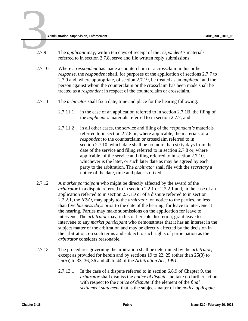- referred to in section 2.7.8, serve and file written reply submissions. 2.7.10 Where a *respondent* has made a counterclaim or a crossclaim in his or her
- *response*, the *respondent* shall, for purposes of the application of sections 2.7.7 to 2.7.9 and, where appropriate, of section 2.7.19, be treated as an *applicant* and the person against whom the counterclaim or the crossclaim has been made shall be treated as a *respondent* in respect of the counterclaim or crossclaim.
- 2.7.11 The *arbitrator* shall fix a date, time and place for the hearing following:
	- 2.7.11.1 in the case of an application referred to in section 2.7.1B, the filing of the *applicant's* materials referred to in section 2.7.7; and
	- 2.7.11.2 in all other cases, the service and filing of the *respondent's* materials referred to in section 2.7.8 or, where applicable, the materials of a *respondent* to the counterclaim or crossclaim referred to in section 2.7.10, which date shall be no more than sixty days from the date of the service and filing referred to in section 2.7.8 or, where applicable, of the service and filing referred to in section 2.7.10, whichever is the later, or such later date as may be agreed by each party to the arbitration. The *arbitrator* shall file with the *secretary* a notice of the date, time and place so fixed.
- 2.7.12 A *market participant* who might be directly affected by the award of the *arbitrator* in a dispute referred to in section 2.2.1 or 2.2.2.1 and, in the case of an application referred to in section 2.7.1D or of a dispute referred to in section 2.2.2.1, the *IESO*, may apply to the *arbitrator*, on notice to the parties, no less than five *business days* prior to the date of the hearing, for leave to intervene at the hearing. Parties may make submissions on the application for leave to intervene. The *arbitrator* may, in his or her sole discretion, grant leave to intervene to any *market participant* who demonstrates that it has an interest in the subject matter of the arbitration and may be directly affected by the decision in the arbitration, on such terms and subject to such rights of participation as the *arbitrator* considers reasonable.
- 2.7.13 The procedures governing the arbitration shall be determined by the *arbitrator*, except as provided for herein and by sections 19 to 22, 25 (other than 25(3) to 25(5)) to 33, 36, 36 and 40 to 44 of the *Arbitration Act, 1991*.
	- 2.7.13.1 In the case of a dispute referred to in section 6.8.9 of Chapter 9, the *arbitrator* shall dismiss the *notice of dispute* and take no further action with respect to the *notice of dispute* if the element of the *final settlement statement* that is the subject-matter of the *notice of dispute*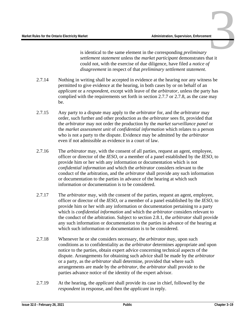**Market Rules for the Ontario Electricity Market**<br>
is identical to the same element in the corresponding *preliminary*<br> *settlement statement* unless the *market participant* demonstrates that it is identical to the same element in the corresponding *preliminary settlement statement* unless the *market participant* demonstrates that it could not, with the exercise of due diligence, have filed a *notice of disagreement* in respect of that *preliminary settlement statement*.

- 2.7.14 Nothing in writing shall be accepted in evidence at the hearing nor any witness be permitted to give evidence at the hearing, in both cases by or on behalf of an *applicant* or a *respondent*, except with leave of the *arbitrator*, unless the party has complied with the requirements set forth in section 2.7.7 or 2.7.8, as the case may be.
- 2.7.15 Any party to a dispute may apply to the *arbitrator* for, and the *arbitrator* may order, such further and other production as the *arbitrator* sees fit, provided that the *arbitrator* may not order the production by the *market surveillance panel* or the *market assessment unit* of *confidential information* which relates to a person who is not a party to the dispute. Evidence may be admitted by the *arbitrator*  even if not admissible as evidence in a court of law.
- 2.7.16 The *arbitrator* may, with the consent of all parties, request an agent, employee, officer or director of the *IESO*, or a member of a panel established by the *IESO*, to provide him or her with any information or documentation which is not *confidential information* and which the *arbitrator* considers relevant to the conduct of the arbitration, and the *arbitrator* shall provide any such information or documentation to the parties in advance of the hearing at which such information or documentation is to be considered.
- 2.7.17 The *arbitrator* may, with the consent of the parties, request an agent, employee, officer or director of the *IESO*, or a member of a panel established by the *IESO*, to provide him or her with any information or documentation pertaining to a party which is *confidential information* and which the *arbitrator* considers relevant to the conduct of the arbitration. Subject to section 2.8.1, the *arbitrator* shall provide any such information or documentation to the parties in advance of the hearing at which such information or documentation is to be considered.
- 2.7.18 Whenever he or she considers necessary, the *arbitrator* may, upon such conditions as to confidentiality as the *arbitrator* determines appropriate and upon notice to the parties, obtain expert advice concerning technical aspects of the dispute. Arrangements for obtaining such advice shall be made by the *arbitrator*  or a party, as the *arbitrator* shall determine, provided that where such arrangements are made by the *arbitrator*, the *arbitrator* shall provide to the parties advance notice of the identity of the expert advisor.
- 2.7.19 At the hearing, the *applicant* shall provide its case in chief, followed by the *respondent* in response, and then the *applicant* in reply.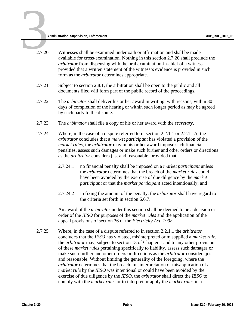- Administration, Supervision, Enforcement<br>
2.7.20 Witnesses shall be examined under oath or affirmation and shall be made<br>
available for cross-examination. Nothing in this section 2.7.20 shall preclude the 2.7.20 Witnesses shall be examined under oath or affirmation and shall be made available for cross-examination. Nothing in this section 2.7.20 shall preclude the *arbitrator* from dispensing with the oral examination-in-chief of a witness provided that a written statement of the witness's evidence is provided in such form as the *arbitrator* determines appropriate.
	- 2.7.21 Subject to section 2.8.1, the arbitration shall be open to the public and all documents filed will form part of the public record of the proceedings.
	- 2.7.22 The *arbitrator* shall deliver his or her award in writing, with reasons, within 30 days of completion of the hearing or within such longer period as may be agreed by each party to the dispute.
	- 2.7.23 The *arbitrator* shall file a copy of his or her award with the *secretary*.
	- 2.7.24 Where, in the case of a dispute referred to in section 2.2.1.1 or 2.2.1.1A, the *arbitrator* concludes that a *market participant* has violated a provision of the *market rules*, the *arbitrator* may in his or her award impose such financial penalties, assess such damages or make such further and other orders or directions as the *arbitrator* considers just and reasonable, provided that:
		- 2.7.24.1 no financial penalty shall be imposed on a *market participant* unless the *arbitrator* determines that the breach of the *market rules* could have been avoided by the exercise of due diligence by the *market participant* or that the *market participant* acted intentionally; and
		- 2.7.24.2 in fixing the amount of the penalty, the *arbitrator* shall have regard to the criteria set forth in section 6.6.7.

An award of the *arbitrator* under this section shall be deemed to be a decision or order of the *IESO* for purposes of the *market rules* and the application of the appeal provisions of section 36 of the *Electricity Act, 1998.*

2.7.25 Where, in the case of a dispute referred to in section 2.2.1.1 the *arbitrator*  concludes that the *IESO* has violated, misinterpreted or misapplied a *market rule*, the *arbitrator* may, subject to section 13 of Chapter 1 and to any other provision of these *market rules* pertaining specifically to liability, assess such damages or make such further and other orders or directions as the *arbitrator* considers just and reasonable. Without limiting the generality of the foregoing, where the *arbitrator* determines that the breach, misinterpretation or misapplication of a *market rule* by the *IESO* was intentional or could have been avoided by the exercise of due diligence by the *IESO*, the *arbitrator* shall direct the *IESO* to comply with the *market rules* or to interpret or apply the *market rules* in a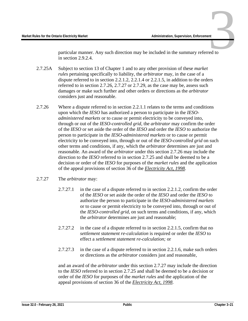Market Rules for the Ontario Electricity Market<br>
particular manner. Any such direction may be included in the summary referred to<br>
in section 2.9.2.4. particular manner. Any such direction may be included in the summary referred to in section 2.9.2.4.

- 2.7.25A Subject to section 13 of Chapter 1 and to any other provision of these *market rules* pertaining specifically to liability, the *arbitrator* may, in the case of a dispute referred to in section 2.2.1.2, 2.2.1.4 or 2.2.1.5, in addition to the orders referred to in section 2.7.26, 2.7.27 or 2.7.29, as the case may be, assess such damages or make such further and other orders or directions as the *arbitrator*  considers just and reasonable.
- 2.7.26 Where a dispute referred to in section 2.2.1.1 relates to the terms and conditions upon which the *IESO* has authorized a person to participate in the *IESOadministered markets* or to cause or permit electricity to be conveyed into, through or out of the *IESO-controlled grid*, the *arbitrator* may confirm the order of the *IESO* or set aside the order of the *IESO* and order the *IESO* to authorize the person to participate in the *IESO-administered markets* or to cause or permit electricity to be conveyed into, through or out of the *IESO-controlled grid* on such other terms and conditions, if any, which the *arbitrator* determines are just and reasonable. An award of the *arbitrator* under this section 2.7.26 may include the direction to the *IESO* referred to in section 2.7.25 and shall be deemed to be a decision or order of the *IESO* for purposes of the *market rules* and the application of the appeal provisions of section 36 of the *Electricity Act, 1998*.

#### 2.7.27 The *arbitrator* may:

- 2.7.27.1 in the case of a dispute referred to in section 2.2.1.2, confirm the order of the *IESO* or set aside the order of the *IESO* and order the *IESO* to authorize the person to participate in the *IESO-administered markets* or to cause or permit electricity to be conveyed into, through or out of the *IESO-controlled grid*, on such terms and conditions, if any, which the *arbitrator* determines are just and reasonable;
- 2.7.27.2 in the case of a dispute referred to in section 2.2.1.5, confirm that no *settlement statement re-calculation* is required or order the *IESO* to effect a *settlement statement re-calculation;* or
- 2.7.27.3 in the case of a dispute referred to in section 2.2.1.6, make such orders or directions as the *arbitrator* considers just and reasonable,

and an award of the *arbitrator* under this section 2.7.27 may include the direction to the *IESO* referred to in section 2.7.25 and shall be deemed to be a decision or order of the *IESO* for purposes of the *market rules* and the application of the appeal provisions of section 36 of the *Electricity Act, 1998*.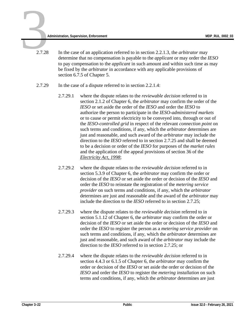- Administration, Supervision, Enforcement<br>
2.7.28 In the case of an application referred to in section 2.2.1.3, the *arbitrator* may<br>
determine that no compensation is payable to the *applicant* or may order the *IESO* 2.7.28 In the case of an application referred to in section 2.2.1.3, the *arbitrator* may determine that no compensation is payable to the *applicant* or may order the *IESO* to pay compensation to the *applicant* in such amount and within such time as may be fixed by the *arbitrator* in accordance with any applicable provisions of section 6.7.5 of Chapter 5.
	- 2.7.29 In the case of a dispute referred to in section 2.2.1.4:
		- 2.7.29.1 where the dispute relates to the *reviewable decision* referred to in section 2.1.2 of Chapter 6, the *arbitrator* may confirm the order of the *IESO* or set aside the order of the *IESO* and order the *IESO* to authorize the person to participate in the *IESO-administered markets* or to cause or permit electricity to be conveyed into, through or out of the *IESO-controlled grid* in respect of the relevant *connection point* on such terms and conditions, if any, which the *arbitrator* determines are just and reasonable, and such award of the *arbitrator* may include the direction to the *IESO* referred to in section 2.7.25 and shall be deemed to be a decision or order of the *IESO* for purposes of the *market rules* and the application of the appeal provisions of section 36 of the *Electricity Act, 1998*;
		- 2.7.29.2 where the dispute relates to the *reviewable decision* referred to in section 5.3.9 of Chapter 6, the *arbitrator* may confirm the order or decision of the *IESO* or set aside the order or decision of the *IESO* and order the *IESO* to reinstate the registration of the *metering service provider* on such terms and conditions, if any, which the *arbitrator*  determines are just and reasonable and the award of the *arbitrator* may include the direction to the *IESO* referred to in section 2.7.25;
		- 2.7.29.3 where the dispute relates to the *reviewable decision* referred to in section 5.1.12 of Chapter 6, the *arbitrator* may confirm the order or decision of the *IESO* or set aside the order or decision of the *IESO* and order the *IESO* to register the person as a *metering service provider* on such terms and conditions, if any, which the *arbitrator* determines are just and reasonable, and such award of the *arbitrator* may include the direction to the *IESO* referred to in section 2.7.25; or
		- 2.7.29.4 where the dispute relates to the *reviewable decision* referred to in section 4.4.3 or 6.1.5 of Chapter 6, the *arbitrator* may confirm the order or decision of the *IESO* or set aside the order or decision of the *IESO* and order the *IESO* to register the *metering installation* on such terms and conditions, if any, which the *arbitrator* determines are just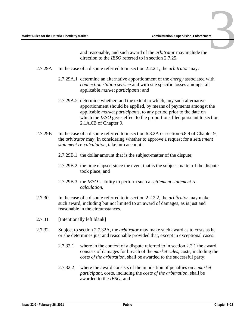Market Rules for the Ontario Electricity Market<br>
and reasonable, and such award of the *arbitrator* may include the<br>
direction to the *IESO* referred to in section 2.7.25. and reasonable, and such award of the *arbitrator* may include the direction to the *IESO* referred to in section 2.7.25.

- 2.7.29A In the case of a dispute referred to in section 2.2.2.1, the *arbitrator* may:
	- 2.7.29A.1 determine an alternative apportionment of the *energy* associated with *connection station service* and with site specific losses amongst all applicable *market participants*; and
	- 2.7.29A.2 determine whether, and the extent to which, any such alternative apportionment should be applied, by means of payments amongst the applicable *market participants*, to any period prior to the date on which the *IESO* gives effect to the proportions filed pursuant to section 2.1A.6B of Chapter 9.
- 2.7.29B In the case of a dispute referred to in section 6.8.2A or section 6.8.9 of Chapter 9, the *arbitrator* may, in considering whether to approve a request for a *settlement statement re-calculation*, take into account:
	- 2.7.29B.1 the dollar amount that is the subject-matter of the dispute;
	- 2.7.29B.2 the time elapsed since the event that is the subject-matter of the dispute took place; and
	- 2.7.29B.3 the *IESO's* ability to perform such a *settlement statement recalculation*.
- 2.7.30 In the case of a dispute referred to in section 2.2.2.2, the *arbitrator* may make such award, including but not limited to an award of damages, as is just and reasonable in the circumstances.
- 2.7.31 [Intentionally left blank]
- 2.7.32 Subject to section 2.7.32A, the *arbitrator* may make such award as to costs as he or she determines just and reasonable provided that, except in exceptional cases:
	- 2.7.32.1 where in the context of a dispute referred to in section 2.2.1 the award consists of damages for breach of the *market rules*, costs, including the *costs of the arbitration*, shall be awarded to the successful party;
	- 2.7.32.2 where the award consists of the imposition of penalties on a *market participant*, costs, including the *costs of the arbitration*, shall be awarded to the *IESO*; and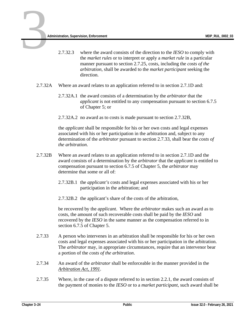- Administration, Supervision, Enforcement<br>
2.7.32.3 where the award consists of the direction to the *IESO* to comply with<br>
the *market rules* or to interpret or apply a *market rule* in a particular 2.7.32.3 where the award consists of the direction to the *IESO* to comply with the *market rules* or to interpret or apply a *market rule* in a particular manner pursuant to section 2.7.25, costs, including the *costs of the arbitration*, shall be awarded to the *market participant* seeking the direction.
	- 2.7.32A Where an award relates to an application referred to in section 2.7.1D and:
		- 2.7.32A.1 the award consists of a determination by the *arbitrator* that the *applicant* is not entitled to any compensation pursuant to section 6.7.5 of Chapter 5; or
		- 2.7.32A.2 no award as to costs is made pursuant to section 2.7.32B,

the *applicant* shall be responsible for his or her own costs and legal expenses associated with his or her participation in the arbitration and, subject to any determination of the *arbitrator* pursuant to section 2.7.33, shall bear the *costs of the arbitration*.

- 2.7.32B Where an award relates to an application referred to in section 2.7.1D and the award consists of a determination by the *arbitrator* that the *applicant* is entitled to compensation pursuant to section 6.7.5 of Chapter 5, the *arbitrator* may determine that some or all of:
	- 2.7.32B.1 the *applicant's* costs and legal expenses associated with his or her participation in the arbitration; and
	- 2.7.32B.2 the applicant's share of the costs of the arbitration,

be recovered by the *applicant*. Where the *arbitrator* makes such an award as to costs, the amount of such recoverable costs shall be paid by the *IESO* and recovered by the *IESO* in the same manner as the compensation referred to in section 6.7.5 of Chapter 5.

- 2.7.33 A person who intervenes in an arbitration shall be responsible for his or her own costs and legal expenses associated with his or her participation in the arbitration. The *arbitrator* may, in appropriate circumstances, require that an intervenor bear a portion of the *costs of the arbitration*.
- 2.7.34 An award of the *arbitrator* shall be enforceable in the manner provided in the *Arbitration Act, 1991*.
- 2.7.35 Where, in the case of a dispute referred to in section 2.2.1, the award consists of the payment of monies to the *IESO* or to a *market participant*, such award shall be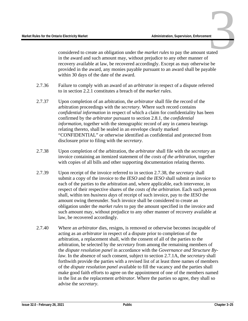Market Rules for the Ontario Electricity Market<br>
considered to create an obligation under the *market rules* to pay the amount stated<br>
in the award and such amount may, without prejudice to any other manner of considered to create an obligation under the *market rules* to pay the amount stated in the award and such amount may, without prejudice to any other manner of recovery available at law, be recovered accordingly. Except as may otherwise be provided in the award, any monies payable pursuant to an award shall be payable within 30 days of the date of the award.

- 2.7.36 Failure to comply with an award of an *arbitrator* in respect of a dispute referred to in section 2.2.1 constitutes a breach of the *market rules*.
- 2.7.37 Upon completion of an arbitration, the *arbitrator* shall file the record of the arbitration proceedings with the *secretary*. Where such record contains *confidential information* in respect of which a claim for confidentiality has been confirmed by the *arbitrator* pursuant to section 2.8.1, the *confidential information*, together with the stenographic record of any in camera hearings relating thereto, shall be sealed in an envelope clearly marked "CONFIDENTIAL" or otherwise identified as confidential and protected from disclosure prior to filing with the *secretary*.
- 2.7.38 Upon completion of the arbitration, the *arbitrator* shall file with the *secretary* an invoice containing an itemized statement of the *costs of the arbitration*, together with copies of all bills and other supporting documentation relating thereto.
- 2.7.39 Upon receipt of the invoice referred to in section 2.7.38, the *secretary* shall submit a copy of the invoice to the *IESO* and the *IESO* shall submit an invoice to each of the parties to the arbitration and, where applicable, each intervenor, in respect of their respective shares of the *costs of the arbitration*. Each such person shall, within ten *business days* of receipt of such invoice, pay to the *IESO* the amount owing thereunder. Such invoice shall be considered to create an obligation under the *market rules* to pay the amount specified in the invoice and such amount may, without prejudice to any other manner of recovery available at law, be recovered accordingly.
- 2.7.40 Where an *arbitrator* dies, resigns, is removed or otherwise becomes incapable of acting as an *arbitrator* in respect of a dispute prior to completion of the arbitration, a replacement shall, with the consent of all of the parties to the arbitration, be selected by the *secretary* from among the remaining members of the *dispute resolution panel* in accordance with the *Governance and Structure Bylaw*. In the absence of such consent, subject to section 2.7.1A, the *secretary* shall forthwith provide the parties with a revised list of at least three names of members of the *dispute resolution panel* available to fill the vacancy and the parties shall make good faith efforts to agree on the appointment of one of the members named in the list as the replacement *arbitrator*. Where the parties so agree, they shall so advise the *secretary*.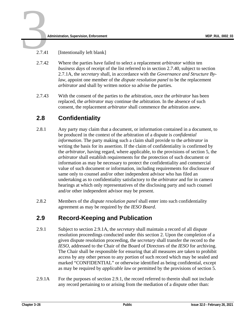# Administration, Supervision, Enforcement<br>
2.7.41 [Intentionally left blank] 2.7.41 [Intentionally left blank]

- 2.7.42 Where the parties have failed to select a replacement *arbitrator* within ten *business days* of receipt of the list referred to in section 2.7.40, subject to section 2.7.1A, the *secretary* shall, in accordance with the *Governance and Structure Bylaw*, appoint one member of the *dispute resolution panel* to be the replacement *arbitrator* and shall by written notice so advise the parties.
- 2.7.43 With the consent of the parties to the arbitration, once the *arbitrator* has been replaced, the *arbitrator* may continue the arbitration. In the absence of such consent, the replacement *arbitrator* shall commence the arbitration anew.

#### **2.8 Confidentiality**

- 2.8.1 Any party may claim that a document, or information contained in a document, to be produced in the context of the arbitration of a dispute is *confidential information*. The party making such a claim shall provide to the *arbitrator* in writing the basis for its assertion. If the claim of confidentiality is confirmed by the *arbitrator*, having regard, where applicable, to the provisions of section 5, the *arbitrator* shall establish requirements for the protection of such document or information as may be necessary to protect the confidentiality and commercial value of such document or information, including requirements for disclosure of same only to counsel and/or other independent advisor who has filed an undertaking as to confidentiality satisfactory to the *arbitrator* and for in camera hearings at which only representatives of the disclosing party and such counsel and/or other independent advisor may be present.
- 2.8.2 Members of the *dispute resolution panel* shall enter into such confidentiality agreement as may be required by the *IESO Board*.

#### **2.9 Record-Keeping and Publication**

- 2.9.1 Subject to section 2.9.1A, the *secretary* shall maintain a record of all dispute resolution proceedings conducted under this section 2. Upon the completion of a given dispute resolution proceeding, the *secretary* shall transfer the record to the *IESO*, addressed to the Chair of the Board of Directors of the *IESO* for archiving. The Chair shall be responsible for ensuring that all measures are taken to prohibit access by any other person to any portion of such record which may be sealed and marked "CONFIDENTIAL" or otherwise identified as being confidential, except as may be required by *applicable law* or permitted by the provisions of section 5.
- 2.9.1A For the purposes of section 2.9.1, the record referred to therein shall not include any record pertaining to or arising from the mediation of a dispute other than: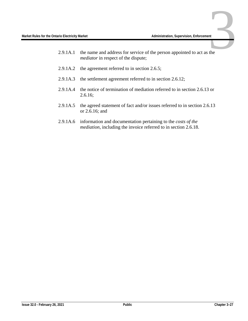- **Market Rules for the Ontario Electricity Market**<br>
2.9.1A.1 the name and address for service of the person appointed to act as the<br> *mediator* in respect of the dispute; 2.9.1A.1 the name and address for service of the person appointed to act as the *mediator* in respect of the dispute;
	- 2.9.1A.2 the agreement referred to in section 2.6.5;
	- 2.9.1A.3 the settlement agreement referred to in section 2.6.12;
	- 2.9.1A.4 the notice of termination of mediation referred to in section 2.6.13 or 2.6.16;
	- 2.9.1A.5 the agreed statement of fact and/or issues referred to in section 2.6.13 or 2.6.16; and
	- 2.9.1A.6 information and documentation pertaining to the *costs of the mediation*, including the invoice referred to in section 2.6.18.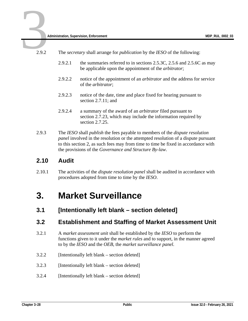- Administration, Supervision, Enforcement<br>
3.9.2 The *secretary* shall arrange for *publication* by the *IESO* of the following: 2.9.2 The *secretary* shall arrange for *publication* by the *IESO* of the following:
	- 2.9.2.1 the summaries referred to in sections 2.5.3C, 2.5.6 and 2.5.6C as may be applicable upon the appointment of the *arbitrator*;
	- 2.9.2.2 notice of the appointment of an *arbitrator* and the address for service of the *arbitrator*;
	- 2.9.2.3 notice of the date, time and place fixed for hearing pursuant to section 2.7.11; and
	- 2.9.2.4 a summary of the award of an *arbitrator* filed pursuant to section 2.7.23, which may include the information required by section 2.7.25.
	- 2.9.3 The *IESO* shall *publish* the fees payable to members of the *dispute resolution panel* involved in the resolution or the attempted resolution of a dispute pursuant to this section 2, as such fees may from time to time be fixed in accordance with the provisions of the *Governance and Structure By-law*.

#### **2.10 Audit**

2.10.1 The activities of the *dispute resolution panel* shall be audited in accordance with procedures adopted from time to time by the *IESO*.

### **3. Market Surveillance**

#### **3.1 [Intentionally left blank – section deleted]**

#### **3.2 Establishment and Staffing of Market Assessment Unit**

- 3.2.1 A *market assessment unit* shall be established by the *IESO* to perform the functions given to it under the *market rules* and to support, in the manner agreed to by the *IESO* and the *OEB*, the *market surveillance panel.*
- 3.2.2 [Intentionally left blank section deleted]
- 3.2.3 [Intentionally left blank section deleted]
- 3.2.4 [Intentionally left blank section deleted]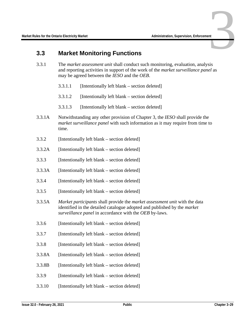# Market Rules for the Ontario Electricity Market<br> **Administration, Supervision, Enforcement**<br> **3.3 Market Monitoring Functions 3.3 Market Monitoring Functions**

- 3.3.1 The *market assessment unit* shall conduct such monitoring, evaluation, analysis and reporting activities in support of the work of the *market surveillance panel* as may be agreed between the *IESO* and the *OEB*.
	- 3.3.1.1 [Intentionally left blank section deleted]
	- 3.3.1.2 [Intentionally left blank section deleted]
	- 3.3.1.3 [Intentionally left blank section deleted]
- 3.3.1A Notwithstanding any other provision of Chapter 3, the *IESO* shall provide the *market surveillance panel* with such information as it may require from time to time.
- 3.3.2 [Intentionally left blank section deleted]
- 3.3.2A [Intentionally left blank section deleted]
- 3.3.3 [Intentionally left blank section deleted]
- 3.3.3A [Intentionally left blank section deleted]
- 3.3.4 [Intentionally left blank section deleted]
- 3.3.5 [Intentionally left blank section deleted]
- 3.3.5A *Market participants* shall provide the *market assessment unit* with the data identified in the detailed catalogue adopted and published by the *market surveillance panel* in accordance with the *OEB* by-laws.
- 3.3.6 [Intentionally left blank section deleted]
- 3.3.7 [Intentionally left blank section deleted]
- 3.3.8 [Intentionally left blank section deleted]
- 3.3.8A [Intentionally left blank section deleted]
- 3.3.8B [Intentionally left blank section deleted]
- 3.3.9 [Intentionally left blank section deleted]
- $3.3.10$  [Intentionally left blank section deleted]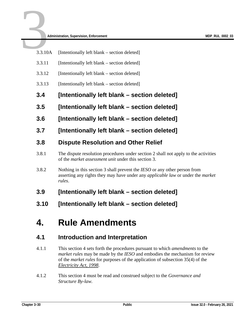- Administration, Supervision, Enforcement<br>
3.3.10A [Intentionally left blank section deleted] 3.3.10A [Intentionally left blank – section deleted]  $3.3.11$  [Intentionally left blank – section deleted] 3.3.12 [Intentionally left blank – section deleted] 3.3.13 [Intentionally left blank – section deleted] **3.4 [Intentionally left blank – section deleted] 3.5 [Intentionally left blank – section deleted] 3.6 [Intentionally left blank – section deleted] 3.7 [Intentionally left blank – section deleted] 3.8 Dispute Resolution and Other Relief** 3.8.1 The dispute resolution procedures under section 2 shall not apply to the activities of the *market assessment unit* under this section 3. 3.8.2 Nothing in this section 3 shall prevent the *IESO* or any other person from asserting any rights they may have under any *applicable law* or under the *market rules*.
	- **3.9 [Intentionally left blank section deleted]**
	- **3.10 [Intentionally left blank section deleted]**

### **4. Rule Amendments**

#### **4.1 Introduction and Interpretation**

- 4.1.1 This section 4 sets forth the procedures pursuant to which *amendments* to the *market rules* may be made by the *IESO* and embodies the mechanism for review of the *market rules* for purposes of the application of subsection 35(4) of the *Electricity Act, 1998*.
- 4.1.2 This section 4 must be read and construed subject to the *Governance and Structure By-law.*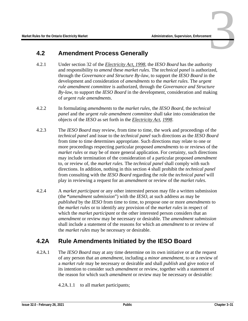# Market Rules for the Ontario Electricity Market<br> **4.2** Amendment Process Generally<br> **Administration, Supervision, Enforcement 4.2 Amendment Process Generally**

- 4.2.1 Under section 32 of the *Electricity Act, 1998*, the *IESO Board* has the authority and responsibility to *amend* these *market rules*. The *technical panel* is authorized, through the *Governance and Structure By-law*, to support the *IESO Board* in the development and consideration of *amendments* to the *market rules*. The *urgent rule amendment committee* is authorized, through the *Governance and Structure By-law*, to support the *IESO Board* in the development, consideration and making of *urgent rule amendments*.
- 4.2.2 In formulating *amendments* to the *market rules*, the *IESO Board*, the *technical panel* and the *urgent rule amendment committee* shall take into consideration the objects of the *IESO* as set forth in the *Electricity Act*, *1998*.
- 4.2.3 The *IESO Board* may review, from time to time, the work and proceedings of the *technical panel* and issue to the *technical panel* such directions as the *IESO Board* from time to time determines appropriate. Such directions may relate to one or more proceedings respecting particular proposed *amendments* to or reviews of the *market rules* or may be of more general application. For certainty, such directions may include termination of the consideration of a particular proposed *amendment* to, or review of, the *market rules.* The *technical panel* shall comply with such directions. In addition, nothing in this section 4 shall prohibit the *technical panel* from consulting with the *IESO Board* regarding the role the *technical panel* will play in reviewing a request for an *amendment* or review of the *market rules*.
- 4.2.4 A *market participant* or any other interested person may file a written submission (the **"***amendment submission*") with the *IESO*, at such address as may be *published* by the *IESO* from time to time, to propose one or more *amendments* to the *market rules* or to identify any provision of the *market rules* in respect of which the *market participant* or the other interested person considers that an *amendment* or review may be necessary or desirable. The *amendment submission* shall include a statement of the reasons for which an *amendment* to or review of the *market rules* may be necessary or desirable.

#### **4.2A Rule Amendments Initiated by the IESO Board**

- 4.2A.1 The *IESO Board* may at any time determine on its own initiative or at the request of any person that an *amendment*, including a *minor amendment*, to or a review of a *market rule* may be necessary or desirable and shall *publish* and give notice of its intention to consider such *amendment* or review, together with a statement of the reason for which such *amendment* or review may be necessary or desirable:
	- 4.2A.1.1 to all market participants;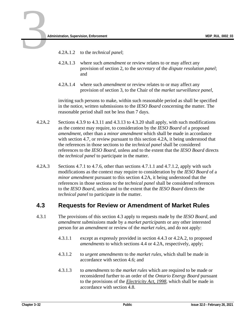# Administration, Supervision, Enforcement<br>4.2A.1.2 to the *technical panel*; 4.2A.1.2 to the *technical panel*;

- 4.2A.1.3 where such *amendment* or review relates to or may affect any provision of section 2, to the *secretary* of the *dispute resolution panel*; and
- 4.2A.1.4 where such *amendment* or review relates to or may affect any provision of section 3, to the Chair of the *market surveillance panel*,

inviting such persons to make, within such reasonable period as shall be specified in the notice, written submissions to the *IESO Board* concerning the matter. The reasonable period shall not be less than 7 days.

- 4.2A.2 Sections 4.3.9 to 4.3.11 and 4.3.13 to 4.3.20 shall apply, with such modifications as the context may require, to consideration by the *IESO Board* of a proposed *amendment*, other than a *minor amendment* which shall be made in accordance with section 4.7, or review pursuant to this section 4.2A, it being understood that the references in those sections to the *technical panel* shall be considered references to the *IESO Board*, unless and to the extent that the *IESO Board* directs the *technical panel* to participate in the matter.
- 4.2A.3 Sections 4.7.1 to 4.7.6, other than sections 4.7.1.1 and 4.7.1.2, apply with such modifications as the context may require to consideration by the *IESO Board* of a *minor amendment* pursuant to this section 4.2A, it being understood that the references in those sections to the *technical panel* shall be considered references to the *IESO Board*, unless and to the extent that the *IESO Board* directs the *technical panel* to participate in the matter.

#### **4.3 Requests for Review or Amendment of Market Rules**

- 4.3.1 The provisions of this section 4.3 apply to requests made by the *IESO Board*, and *amendment submissions* made by a *market participants* or any other interested person for an *amendment* or review of the *market rules*, and do not apply:
	- 4.3.1.1 except as expressly provided in section 4.4.3 or 4.2A.2, to proposed *amendments* to which sections 4.4 or 4.2A, respectively, apply;
	- 4.3.1.2 to *urgent amendments* to the *market rules*, which shall be made in accordance with section 4.6; and
	- 4.3.1.3 to *amendments* to the *market rules* which are required to be made or reconsidered further to an order of the *Ontario Energy Board* pursuant to the provisions of the *Electricity Act, 1998*, which shall be made in accordance with section 4.8.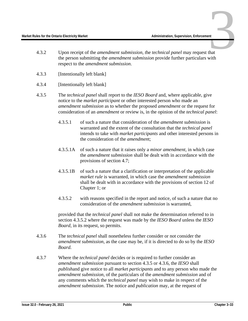- **Market Rules for the Ontario Electricity Market**<br>
4.3.2 Upon receipt of the *amendment submission*, the *technical panel* may request that<br>
the person submitting the *amendment submission* provide further particulars with 4.3.2 Upon receipt of the *amendment submission, t*he *technical panel* may request that the person submitting the *amendment submission* provide further particulars with respect to the *amendment submission*.
	- 4.3.3 [Intentionally left blank]
	- 4.3.4 [Intentionally left blank]
	- 4.3.5 The *technical panel* shall report to the *IESO Board* and, where applicable, give notice to the *market participant* or other interested person who made an *amendment submission* as to whether the proposed *amendment* or the request for consideration of an *amendment* or review is, in the opinion of the *technical panel*:
		- 4.3.5.1 of such a nature that consideration of the *amendment submission* is warranted and the extent of the consultation that the *technical panel* intends to take with *market participants* and other interested persons in the consideration of the *amendmen*t;
		- 4.3.5.1A of such a nature that it raises only a *minor amendment*, in which case the *amendment submission* shall be dealt with in accordance with the provisions of section 4.7;
		- 4.3.5.1B of such a nature that a clarification or interpretation of the applicable *market rule* is warranted, in which case the *amendment submission* shall be dealt with in accordance with the provisions of section 12 of Chapter 1; or
		- 4.3.5.2 with reasons specified in the report and notice, of such a nature that no consideration of the *amendment submission* is warranted,

provided that the *technical panel* shall not make the determination referred to in section 4.3.5.2 where the request was made by the *IESO Board* unless the *IESO Board*, in its request, so permits.

- 4.3.6 The *technical panel* shall nonetheless further consider or not consider the *amendment submission*, as the case may be, if it is directed to do so by the *IESO Board.*
- 4.3.7 Where the *technical panel* decides or is required to further consider an *amendment submission* pursuant to section 4.3.5 or 4.3.6, the *IESO* shall *publish*and give notice to all *market participants* and to any person who made the *amendment submission,* of the particulars of the *amendment submission* and of any comments which the *technical panel* may wish to make in respect of the *amendment submission*. The notice and *publication* may, at the request of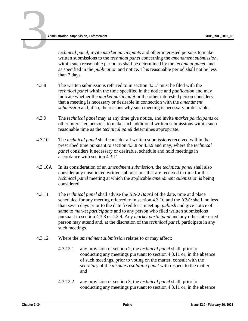Administration, Supervision, Enforcement<br> *Administration, Supervision, Enforcement*<br> *Administration, invite market participants* and other interested persons to make<br>
written submissions to the *technical panel* concerni *technical panel*, invite *market participants* and other interested persons to make written submissions to the *technical panel* concerning the *amendment submission*, within such reasonable period as shall be determined by the *technical panel*, and as specified in the *publication* and notice. This reasonable period shall not be less than 7 days.

- 4.3.8 The written submissions referred to in section 4.3.7 must be filed with the *technical panel* within the time specified in the notice and *publication* and may indicate whether the *market participant* or the other interested person considers that a meeting is necessary or desirable in connection with the *amendment submission* and, if so, the reasons why such meeting is necessary or desirable.
- 4.3.9 The *technical panel* may at any time give notice, and invite *market participants* or other interested persons, to make such additional written submissions within such reasonable time as the *technical panel* determines appropriate.
- 4.3.10 The *technical panel* shall consider all written submissions received within the prescribed time pursuant to section 4.3.8 or 4.3.9 and may, where the *technical panel* considers it necessary or desirable, schedule and hold meetings in accordance with section 4.3.11.
- 4.3.10A In its consideration of an *amendment submission*, the *technical panel* shall also consider any unsolicited written submissions that are received in time for the *technical panel* meeting at which the applicable *amendment submission* is being considered.
- 4.3.11 The *technical panel* shall advise the *IESO Board* of the date, time and place scheduled for any meeting referred to in section 4.3.10 and the *IESO* shall, no less than seven days prior to the date fixed for a meeting, *publish* and give notice of same to *market participants* and to any person who filed written submissions pursuant to section 4.3.8 or 4.3.9. Any *market participant* and any other interested person may attend and, at the discretion of the *technical panel,* participate in any such meetings.
- 4.3.12 Where the *amendment submission* relates to or may affect:
	- 4.3.12.1 any provision of section 2, the *technical panel* shall, prior to conducting any meetings pursuant to section 4.3.11 or, in the absence of such meetings, prior to voting on the matter, consult with the *secretary* of the *dispute resolution panel* with respect to the matter; and
	- 4.3.12.2 any provision of section 3, the *technical panel* shall, prior to conducting any meetings pursuant to section 4.3.11 or, in the absence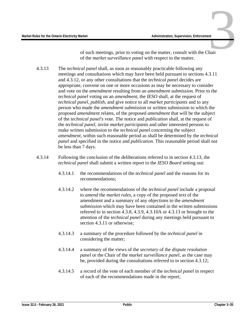**Market Rules for the Ontario Electricity Market**<br> **Administration, Supervision, Enforcement**<br>
of such meetings, prior to voting on the matter, consult with the Chair<br>
of the *market surveillance panel* with respect to the of such meetings, prior to voting on the matter, consult with the Chair of the *market surveillance panel* with respect to the matter.

- 4.3.13 The *technical panel* shall, as soon as reasonably practicable following any meetings and consultations which may have been held pursuant to sections 4.3.11 and 4.3.12, or any other consultations that the *technical panel* decides are appropriate, convene on one or more occasions as may be necessary to consider and vote on the *amendment* resulting from an *amendment submission*. Prior to the *technical panel* voting on an *amendment*, the *IESO* shall, at the request of *technical panel*, *publish,* and give notice to all *market participants* and to any person who made the *amendment submission* or written submission to which the proposed *amendment* relates, of the proposed *amendment* that will be the subject of the *technical panel's* vote. The notice and *publication* shall, at the request of the *technical panel*, invite *market participants* and other interested persons to make written submission to the *technical panel* concerning the subject *amendment*, within such reasonable period as shall be determined by the *technical panel* and specified in the notice and *publication*. This reasonable period shall not be less than 7 days.
- 4.3.14 Following the conclusion of the deliberations referred to in section 4.3.13, the *technical panel* shall submit a written report to the *IESO Board* setting out:
	- 4.3.14.1 the recommendations of the *technical panel* and the reasons for its recommendations;
	- 4.3.14.2 where the recommendations of the *technical panel* include a proposal to *amend* the *market rules*, a copy of the proposed text of the amendment and a summary of any objections to the *amendment submission* which may have been contained in the written submissions referred to in section 4.3.8, 4.3.9, 4.3.10A or 4.3.13 or brought to the attention of the *technical panel* during any meetings held pursuant to section 4.3.11 or otherwise;
	- 4.3.14.3 a summary of the procedure followed by the *technical panel* in considering the matter;
	- 4.3.14.4 a summary of the views of the *secretary* of the *dispute resolution panel* or the Chair of the *market surveillance panel*, as the case may be, provided during the consultations referred to in section 4.3.12;
	- 4.3.14.5 a record of the vote of each member of the *technical panel* in respect of each of the recommendations made in the report;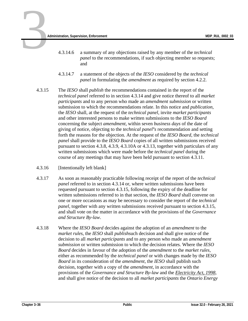- Administration, Supervision, Enforcement<br>3.14.6 a summary of any objections raised by any member of the *technical*<br>3.14.6 a summary of any objections raised by any member of the *technical*<br>3.14.6 a summary of any objecti 4.3.14.6 a summary of any objections raised by any member of the *technical panel* to the recommendations, if such objecting member so requests; and
	- 4.3.14.7 a statement of the objects of the *IESO* considered by the *technical panel* in formulating the *amendment* as required by section 4.2.2.
	- 4.3.15 The *IESO* shall *publish* the recommendations contained in the report of the *technical panel* referred to in section 4.3.14 and give notice thereof to all *market participants* and to any person who made an *amendment submission* or written submission to which the recommendations relate. In this notice and *publication*, the *IESO* shall, at the request of the *technical panel*, invite *market participants*  and other interested persons to make written submissions to the *IESO Board* concerning the subject *amendment*, within seven *business days* of the date of giving of notice, objecting to the *technical panel's* recommendation and setting forth the reasons for the objection. At the request of the *IESO Board*, the *technical panel* shall provide to the *IESO Board* copies of all written submissions received pursuant to section 4.3.8, 4.3.9, 4.3.10A or 4.3.13, together with particulars of any written submissions which were made before the *technical panel* during the course of any meetings that may have been held pursuant to section 4.3.11.
	- 4.3.16 [Intentionally left blank]
	- 4.3.17 As soon as reasonably practicable following receipt of the report of the *technical panel* referred to in section 4.3.14 or, where written submissions have been requested pursuant to section 4.3.15, following the expiry of the deadline for written submissions referred to in that section, the *IESO Board* shall convene on one or more occasions as may be necessary to consider the report of the *technical panel*, together with any written submissions received pursuant to section 4.3.15, and shall vote on the matter in accordance with the provisions of the *Governance and Structure By-law*.
	- 4.3.18 Where the *IESO Board* decides against the adoption of an *amendment* to the *market rules*, the *IESO* shall *publish*such decision and shall give notice of the decision to all *market participants* and to any person who made an *amendment submission* or written submission to which the decision relates. Where the *IESO Board* decides in favour of the adoption of the *amendment* to the *market rules,*  either as recommended by the *technical panel* or with changes made by the *IESO Board* in its consideration of the *amendment*, the *IESO* shall publish such decision, together with a copy of the *amendment*, in accordance with the provisions of the *Governance and Structure By-law* and the *Electricity Act, 1998*, and shall give notice of the decision to all *market participants* the *Ontario Energy*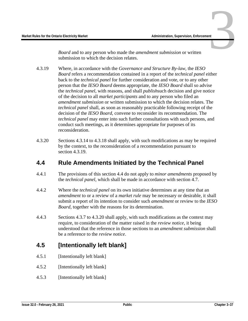**Market Rules for the Ontario Electricity Market**<br> **Administration, Supervision, Enforcement**<br> **Board and to any person who made the** *amendment submission* **or written<br>
submission to which the decision relates.** *Board* and to any person who made the *amendment submission* or written submission to which the decision relates.

- 4.3.19 Where, in accordance with the *Governance and Structure By-law*, the *IESO Board* refers a recommendation contained in a report of the *technical panel* either back to the *technical panel* for further consideration and vote, or to any other person that the *IESO Board* deems appropriate, the *IESO Board* shall so advise the *technical panel*, with reasons, and shall *publish*such decision and give notice of the decision to all *market participants* and to any person who filed an *amendment submission* or written submission to which the decision relates. The *technical panel* shall, as soon as reasonably practicable following receipt of the decision of the *IESO Board*, convene to reconsider its recommendation. The *technical panel* may enter into such further consultations with such persons, and conduct such meetings, as it determines appropriate for purposes of its reconsideration.
- 4.3.20 Sections 4.3.14 to 4.3.18 shall apply, with such modifications as may be required by the context, to the reconsideration of a recommendation pursuant to section 4.3.19.

#### **4.4 Rule Amendments Initiated by the Technical Panel**

- 4.4.1 The provisions of this section 4.4 do not apply to *minor amendments* proposed by the *technical panel*, which shall be made in accordance with section 4.7.
- 4.4.2 Where the *technical panel* on its own initiative determines at any time that an *amendment* to or a review of a *market rule* may be necessary or desirable, it shall submit a report of its intention to consider such *amendment* or review to the *IESO Board*, together with the reasons for its determination.
- 4.4.3 Sections 4.3.7 to 4.3.20 shall apply, with such modifications as the context may require, to consideration of the matter raised in the *review notice*, it being understood that the reference in those sections to an *amendment submission* shall be a reference to the *review notice*.

#### **4.5 [Intentionally left blank]**

- 4.5.1 [Intentionally left blank]
- 4.5.2 [Intentionally left blank]
- 4.5.3 [Intentionally left blank]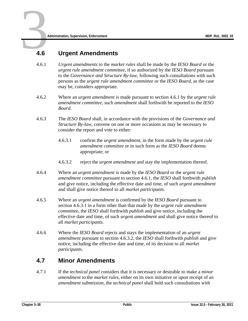# Administration, Supervision, Enforcement<br> **4.6 Urgent Amendments 4.6 Urgent Amendments**

- 4.6.1 *Urgent amendments* to the *market rules* shall be made by the *IESO Board* or the *urgent rule amendment committee*, if so authorized by the *IESO Board* pursuant to the *Governance and Structure By-law*, following such consultations with such persons as the *urgent rule amendment committee* or the *IESO Board*, as the case may be, considers appropriate.
- 4.6.2 Where an *urgent amendment* is made pursuant to section 4.6.1 by the *urgent rule amendment committee*, such *amendment* shall forthwith be reported to the *IESO Board*.
- 4.6.3 The *IESO Board* shall, in accordance with the provisions of the *Governance and Structure By-law*, convene on one or more occasions as may be necessary to consider the report and vote to either:
	- 4.6.3.1 confirm the *urgent amendment*, in the form made by the *urgent rule amendment committee* or in such form as the *IESO Board* deems appropriate; or
	- 4.6.3.2 reject the *urgent amendment* and stay the implementation thereof.
- 4.6.4 Where an *urgent amendment* is made by the *IESO Board* or the *urgent rule amendment committee* pursuant to section 4.6.1, the *IESO* shall forthwith *publish* and give notice, including the effective date and time, of such *urgent amendment* and shall give notice thereof to all *market participants*.
- 4.6.5 Where an *urgent amendment* is confirmed by the *IESO Board* pursuant to section 4.6.3.1 in a form other than that made by the *urgent rule amendment committee*, the *IESO* shall forthwith *publish* and give notice, including the effective date and time, of such *urgent amendment* and shall give notice thereof to all *market participants*.
- 4.6.6 Where the *IESO Board* rejects and stays the implementation of an *urgent amendment* pursuant to section 4.6.3.2, the *IESO* shall forthwith *publish* and give notice, including the effective date and time, of its decision to all *market participants*.

#### **4.7 Minor Amendments**

4.7.1 If the *technical panel* considers that it is necessary or desirable to make a *minor amendment* to the *market rules*, either on its own initiative or upon receipt of an *amendment submission,* the *technical panel* shall hold such consultations with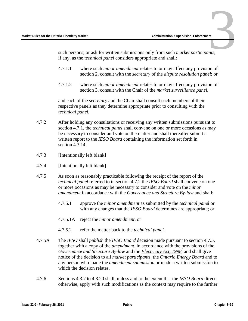Market Rules for the Ontario Electricity Market<br>
Such persons, or ask for written submissions only from such *market participants*,<br>
if any, as the *technical panel* considers appropriate and shall: such persons, or ask for written submissions only from such *market participants*, if any, as the *technical panel* considers appropriate and shall:

- 4.7.1.1 where such *minor amendment* relates to or may affect any provision of section 2, consult with the *secretary* of the *dispute resolution panel*; or
- 4.7.1.2 where such *minor amendment* relates to or may affect any provision of section 3, consult with the Chair of the *market surveillance panel*,

and each of the *secretary* and the Chair shall consult such members of their respective panels as they determine appropriate prior to consulting with the *technical panel.*

- 4.7.2 After holding any consultations or receiving any written submissions pursuant to section 4.7.1, the *technical panel* shall convene on one or more occasions as may be necessary to consider and vote on the matter and shall thereafter submit a written report to the *IESO Board* containing the information set forth in section 4.3.14.
- 4.7.3 [Intentionally left blank]
- 4.7.4 [Intentionally left blank]
- 4.7.5 As soon as reasonably practicable following the receipt of the report of the *technical panel* referred to in section 4.7.2 the *IESO Board* shall convene on one or more occasions as may be necessary to consider and vote on the *minor amendment* in accordance with the *Governance and Structure By-law* and shall:
	- 4.7.5.1 approve the *minor amendment* as submitted by the *technical panel* or with any changes that the *IESO Board* determines are appropriate; or
	- 4.7.5.1A reject the *minor amendment*, or
	- 4.7.5.2 refer the matter back to the *technical panel.*
- 4.7.5A The *IESO* shall *publish* the *IESO Board* decision made pursuant to section 4.7.5, together with a copy of the *amendment*, in accordance with the provisions of the *Governance and Structure By-law* and the *Electricity Act, 1998*, and shall give notice of the decision to all *market participants,* the *Ontario Energy Board* and to any person who made the *amendment submission* or made a written submission to which the decision relates.
- 4.7.6 Sections 4.3.7 to 4.3.20 shall, unless and to the extent that the *IESO Board* directs otherwise, apply with such modifications as the context may require to the further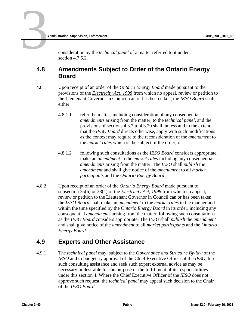Administration, Supervision, Enforcement<br>
consideration by the *technical panel* of a matter referred to it under<br>
section 4.7.5.2. consideration by the *technical panel* of a matter referred to it under section 4.7.5.2.

#### **4.8 Amendments Subject to Order of the Ontario Energy Board**

- 4.8.1 Upon receipt of an order of the *Ontario Energy Board* made pursuant to the provisions of the *Electricity Act, 1998* from which no appeal, review or petition to the Lieutenant Governor in Council can or has been taken, the *IESO Board* shall either:
	- 4.8.1.1 refer the matter, including consideration of any consequential *amendments* arising from the matter, to the *technical panel*, and the provisions of sections 4.3.7 to 4.3.20 shall, unless and to the extent that the *IESO Board* directs otherwise, apply with such modifications as the context may require to the reconsideration of the *amendment* to the *market rules* which is the subject of the order; or
	- 4.8.1.2 following such consultations as the *IESO Board* considers appropriate, make an *amendment* to the *market rules* including any consequential *amendments* arising from the matter. The *IESO* shall *publish* the *amendment* and shall give notice of the *amendment* to all *market participants* and the *Ontario Energy Board*.
- 4.8.2 Upon receipt of an order of the *Ontario Energy Board* made pursuant to subsection 35(6) or 38(4) of the *Electricity Act, 1998* from which no appeal, review or petition to the Lieutenant Governor in Council can or has been taken, the *IESO Board* shall make an *amendment* to the *market rules* in the manner and within the time specified by the *Ontario Energy Board* in its order, including any consequential *amendments* arising from the matter, following such consultations as the *IESO Board* considers appropriate. The *IESO* shall *publish* the *amendment*  and shall give notice of the *amendment* to all *market participants* and the *Ontario Energy Board*.

#### **4.9 Experts and Other Assistance**

4.9.1 The *technical panel* may, subject to the *Governance and Structure By-law* of the *IESO* and to budgetary approval of the Chief Executive Officer of the *IESO,* hire such consulting assistance and seek such expert external advice as may be necessary or desirable for the purpose of the fulfillment of its responsibilities under this section 4. Where the Chief Executive Officer of the *IESO* does not approve such request, the *technical panel* may appeal such decision to the Chair of the *IESO Board.*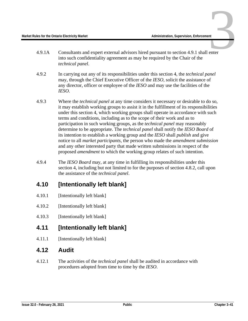- Market Rules for the Ontario Electricity Market<br>
4.9.1A Consultants and expert external advisors hired pursuant to section 4.9.1 shall enter<br>
into such confidentiality agreement as may be required by the Chair of the 4.9.1A Consultants and expert external advisors hired pursuant to section 4.9.1 shall enter into such confidentiality agreement as may be required by the Chair of the *technical panel*.
	- 4.9.2 In carrying out any of its responsibilities under this section 4, the *technical panel* may, through the Chief Executive Officer of the *IESO*, solicit the assistance of any director, officer or employee of the *IESO* and may use the facilities of the *IESO*.
	- 4.9.3 Where the *technical panel* at any time considers it necessary or desirable to do so, it may establish working groups to assist it in the fulfillment of its responsibilities under this section 4, which working groups shall operate in accordance with such terms and conditions, including as to the scope of their work and as to participation in such working groups, as the *technical panel* may reasonably determine to be appropriate. The *technical panel* shall notify the *IESO Board* of its intention to establish a working group and the *IESO* shall *publish* and give notice to all *market participants,* the person who made the *amendment submission*  and any other interested party that made written submissions in respect of the proposed *amendment* to which the working group relates of such intention.
	- 4.9.4 The *IESO Board* may, at any time in fulfilling its responsibilities under this section 4, including but not limited to for the purposes of section 4.8.2, call upon the assistance of the *technical panel*.

#### **4.10 [Intentionally left blank]**

- 4.10.1 [Intentionally left blank]
- 4.10.2 [Intentionally left blank]
- 4.10.3 [Intentionally left blank]

#### **4.11 [Intentionally left blank]**

4.11.1 [Intentionally left blank]

#### **4.12 Audit**

4.12.1 The activities of the *technical panel* shall be audited in accordance with procedures adopted from time to time by the *IESO*.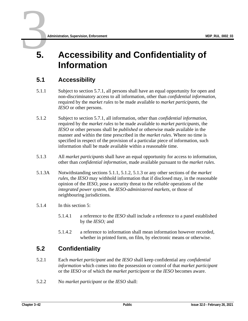### Administration, Supervision, Enforcement<br> **3. Accessibility and Confidentiality of 5. Accessibility and Confidentiality of Information**

#### **5.1 Accessibility**

- 5.1.1 Subject to section 5.7.1, all persons shall have an equal opportunity for open and non-discriminatory access to all information, other than *confidential information*, required by the *market rules* to be made available to *market participants*, the *IESO* or other persons.
- 5.1.2 Subject to section 5.7.1, all information, other than *confidential information*, required by the *market rules* to be made available to *market participants*, the *IESO* or other persons shall be *published* or otherwise made available in the manner and within the time prescribed in the *market rules*. Where no time is specified in respect of the provision of a particular piece of information, such information shall be made available within a reasonable time.
- 5.1.3 All *market participants* shall have an equal opportunity for access to information, other than *confidential information*, made available pursuant to the *market rules*.
- 5.1.3A Notwithstanding sections 5.1.1, 5.1.2, 5.1.3 or any other sections of the *market rules*, the *IESO* may withhold information that if disclosed may, in the reasonable opinion of the *IESO*, pose a security threat to the *reliable* operations of the *integrated power system*, the *IESO-administered markets*, or those of neighbouring jurisdictions.
- 5.1.4 In this section 5:
	- 5.1.4.1 a reference to the *IESO* shall include a reference to a panel established by the *IESO;* and
	- 5.1.4.2 a reference to information shall mean information however recorded, whether in printed form, on film, by electronic means or otherwise.

#### **5.2 Confidentiality**

- 5.2.1 Each *market participant* and the *IESO* shall keep confidential any *confidential information* which comes into the possession or control of that *market participant* or the *IESO* or of which the *market participant* or the *IESO* becomes aware.
- 5.2.2 No *market participant* or the *IESO* shall: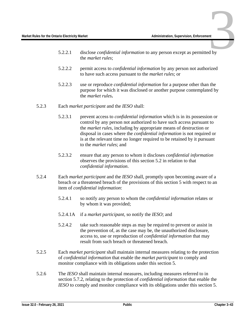- **Market Rules for the Ontario Electricity Market**<br>
5.2.2.1 disclose *confidential information* to any person except as permitted by<br>
the *market rules*; 5.2.2.1 disclose *confidential information* to any person except as permitted by the *market rules*;
	- 5.2.2.2 permit access to *confidential information* by any person not authorized to have such access pursuant to the *market rules*; or
	- 5.2.2.3 use or reproduce *confidential information* for a purpose other than the purpose for which it was disclosed or another purpose contemplated by the *market rules***.**
	- 5.2.3 Each *market participant* and the *IESO* shall:
		- 5.2.3.1 prevent access to *confidential information* which is in its possession or control by any person not authorized to have such access pursuant to the *market rules*, including by appropriate means of destruction or disposal in cases where the *confidential information* is not required or is at the relevant time no longer required to be retained by it pursuant to the *market rules*; and
		- 5.2.3.2 ensure that any person to whom it discloses *confidential information* observes the provisions of this section 5.2 in relation to that *confidential information*.
	- 5.2.4 Each *market participant* and the *IESO* shall, promptly upon becoming aware of a breach or a threatened breach of the provisions of this section 5 with respect to an item of *confidential information*:
		- 5.2.4.1 so notify any person to whom the *confidential information* relates or by whom it was provided;
		- 5.2.4.1A if a *market participant*, so notify the *IESO*; and
		- 5.2.4.2 take such reasonable steps as may be required to prevent or assist in the prevention of, as the case may be, the unauthorized disclosure, access to, use or reproduction of *confidential information* that may result from such breach or threatened breach.
	- 5.2.5 Each *market participant* shall maintain internal measures relating to the protection of *confidential information* that enable the *market participant* to comply and monitor compliance with its obligations under this section 5.
	- 5.2.6 The *IESO* shall maintain internal measures, including measures referred to in section 5.7.2, relating to the protection of *confidential information* that enable the *IESO* to comply and monitor compliance with its obligations under this section 5.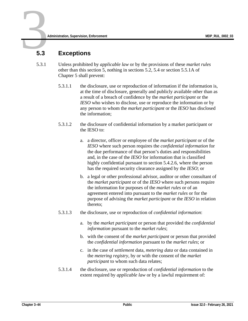# Administration, Supervision, Enforcement<br> **3.3**<br> **Exceptions 5.3 Exceptions**

- 5.3.1 Unless prohibited by *applicable law* or by the provisions of these *market rules* other than this section 5, nothing in sections 5.2, 5.4 or section 5.5.1A of Chapter 5 shall prevent:
	- 5.3.1.1 the disclosure, use or reproduction of information if the information is, at the time of disclosure, generally and publicly available other than as a result of a breach of confidence by the *market participant* or the *IESO* who wishes to disclose, use or reproduce the information or by any person to whom the *market participant* or the *IESO* has disclosed the information;
	- 5.3.1.2 the disclosure of confidential information by a market participant or the IESO to:
		- a. a director, officer or employee of the *market participant* or of the *IESO* where such person requires the *confidential information* for the due performance of that person's duties and responsibilities and, in the case of the *IESO* for information that is classified highly confidential pursuant to section 5.4.2.6, where the person has the required security clearance assigned by the *IESO*; or
		- b. a legal or other professional advisor, auditor or other consultant of the *market participant* or of the *IESO* where such persons require the information for purposes of the *market rules* or of an agreement entered into pursuant to the *market rules* or for the purpose of advising the *market participant* or the *IESO* in relation thereto;
	- 5.3.1.3 the disclosure, use or reproduction of *confidential information*:
		- a. by the *market participant* or person that provided the *confidential information* pursuant to the *market rules*;
		- b. with the consent of the *market participant* or person that provided the *confidential information* pursuant to the *market rules*; or
		- c. in the case of *settlement* data*, metering data* or data contained in the *metering registry*, by or with the consent of the *market participant* to whom such data relates;
	- 5.3.1.4 the disclosure, use or reproduction of *confidential information* to the extent required by *applicable law* or by a lawful requirement of: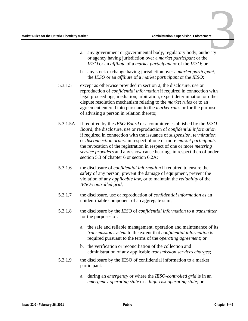- Market Rules for the Ontario Electricity Market<br>
a. any government or governmental body, regulatory body, authority<br>
or agency having jurisdiction over a *market participant* or the a. any government or governmental body, regulatory body, authority or agency having jurisdiction over a *market participant* or the *IESO* or an *affiliate* of a *market participant* or of the *IESO*; or
	- b. any stock exchange having jurisdiction over a *market participant*, the *IESO* or an *affiliate* of a *market participant* or the *IESO*;
	- 5.3.1.5 except as otherwise provided in section 2, the disclosure, use or reproduction of *confidential information* if required in connection with legal proceedings, mediation, arbitration, expert determination or other dispute resolution mechanism relating to the *market rules* or to an agreement entered into pursuant to the *market rules* or for the purpose of advising a person in relation thereto;
	- 5.3.1.5A if required by the *IESO Board* or a committee established by the *IESO Board*, the disclosure, use or reproduction of *confidential information* if required in connection with the issuance of *suspension*, *termination* or *disconnection orders* in respect of one or more *market participants* the revocation of the registration in respect of one or more *metering service providers* and any show cause hearings in respect thereof under section 5.3 of chapter 6 or section 6.2A;
	- 5.3.1.6 the disclosure of *confidential information* if required to ensure the safety of any person, prevent the damage of equipment, prevent the violation of any *applicable law*, or to maintain the *reliability* of the *IESO-controlled grid*;
	- 5.3.1.7 the disclosure, use or reproduction of *confidential information* as an unidentifiable component of an aggregate sum;
	- 5.3.1.8 the disclosure by the *IESO* of *confidential information* to a *transmitter* for the purposes of:
		- a. the safe and reliable management, operation and maintenance of its *transmission system* to the extent that *confidential information* is required pursuant to the terms of the *operating agreement*; or
		- b. the verification or reconciliation of the collection and administration of any applicable *transmission services charges*;
	- 5.3.1.9 the disclosure by the IESO of confidential information to a market participant:
		- a. during an *emergency* or where the *IESO-controlled grid* is in an *emergency operating state* or a *high-risk operating state*; or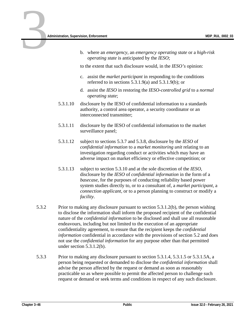Administration, Supervision, Enforcement<br>
3. Where an *emergency*, an *emergency operating state* or a *high-risk*<br> *operating state* is anticipated by the *IESO*; b. where an *emergency*, an *emergency operating state* or a *high-risk operating state* is anticipated by the *IESO*;

to the extent that such disclosure would, in the *IESO's* opinion:

- c. assist the *market participant* in responding to the conditions referred to in sections  $5.3.1.9(a)$  and  $5.3.1.9(b)$ ; or
- d. assist the *IESO* in restoring the *IESO-controlled grid* to a *normal operating state*;
- 5.3.1.10 disclosure by the IESO of confidential information to a standards authority, a control area operator, a security coordinator or an interconnected transmitter;
- 5.3.1.11 disclosure by the IESO of confidential information to the market surveillance panel;
- 5.3.1.12 subject to sections 5.3.7 and 5.3.8, disclosure by the *IESO* of *confidential information* to a *market monitoring unit* relating to an investigation regarding conduct or activities which may have an adverse impact on market efficiency or effective competition; or
- 5.3.1.13 subject to section 5.3.10 and at the sole discretion of the *IESO*, disclosure by the *IESO* of *confidential information* in the form of a *basecase,* for the purposes of conducting reliability based power system studies directly to, or to a consultant of, a *market participant*, a *connection applicant,* or to a person planning to construct or modify a *facility*.
- 5.3.2 Prior to making any disclosure pursuant to section 5.3.1.2(b), the person wishing to disclose the information shall inform the proposed recipient of the confidential nature of the *confidential information* to be disclosed and shall use all reasonable endeavours, including but not limited to the execution of an appropriate confidentiality agreement, to ensure that the recipient keeps the *confidential information* confidential in accordance with the provisions of section 5.2 and does not use the *confidential information* for any purpose other than that permitted under section 5.3.1.2(b).
- 5.3.3 Prior to making any disclosure pursuant to section 5.3.1.4, 5.3.1.5 or 5.3.1.5A, a person being requested or demanded to disclose the *confidential information* shall advise the person affected by the request or demand as soon as reasonably practicable so as where possible to permit the affected person to challenge such request or demand or seek terms and conditions in respect of any such disclosure.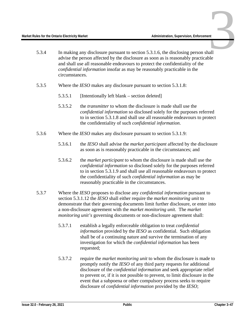- Market Rules for the Ontario Electricity Market<br> **Administration, Supervision, Enforcement**<br>
3.3.4 In making any disclosure pursuant to section 5.3.1.6, the disclosing person shall<br>
advise the person affected by the disclo 5.3.4 In making any disclosure pursuant to section 5.3.1.6, the disclosing person shall advise the person affected by the disclosure as soon as is reasonably practicable and shall use all reasonable endeavours to protect the confidentiality of the *confidential information* insofar as may be reasonably practicable in the circumstances.
	- 5.3.5 Where the *IESO* makes any disclosure pursuant to section 5.3.1.8:
		- 5.3.5.1 [Intentionally left blank section deleted]
		- 5.3.5.2 the *transmitter* to whom the disclosure is made shall use the *confidential information* so disclosed solely for the purposes referred to in section 5.3.1.8 and shall use all reasonable endeavours to protect the confidentiality of such *confidential information*.
	- 5.3.6 Where the *IESO* makes any disclosure pursuant to section 5.3.1.9:
		- 5.3.6.1 the *IESO* shall advise the *market participant* affected by the disclosure as soon as is reasonably practicable in the circumstances; and
		- 5.3.6.2 the *market participant* to whom the disclosure is made shall use the *confidential information* so disclosed solely for the purposes referred to in section 5.3.1.9 and shall use all reasonable endeavours to protect the confidentiality of such *confidential information* as may be reasonably practicable in the circumstances.
	- 5.3.7 Where the *IESO* proposes to disclose any *confidential information* pursuant to section 5.3.1.12 the *IESO* shall either require the *market monitoring unit* to demonstrate that their governing documents limit further disclosure, or enter into a non-disclosure agreement with the *market monitoring unit.* The *market monitoring unit's* governing documents or non-disclosure agreement shall:
		- 5.3.7.1 establish a legally enforceable obligation to treat *confidential information* provided by the *IESO* as confidential. Such obligation shall be of a continuing nature and survive the termination of any investigation for which the *confidential information* has been requested;
		- 5.3.7.2 require the *market monitoring unit* to whom the disclosure is made to promptly notify the *IESO* of any third party requests for additional disclosure of the *confidential information* and seek appropriate relief to prevent or, if it is not possible to prevent, to limit disclosure in the event that a subpoena or other compulsory process seeks to require disclosure of *confidential information* provided by the *IESO*;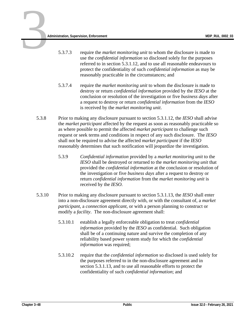- Administration, Supervision, Enforcement<br>
3.3.7.3 require the *market monitoring unit* to whom the disclosure is made to<br>
use the *confidential information* so disclosed solely for the purposes 5.3.7.3 require the *market monitoring unit* to whom the disclosure is made to use the *confidential information* so disclosed solely for the purposes referred to in section 5.3.1.12, and to use all reasonable endeavours to protect the confidentiality of such *confidential information* as may be reasonably practicable in the circumstances; and
	- 5.3.7.4 require the *market monitoring unit* to whom the disclosure is made to destroy or return *confidential information* provided by the *IESO* at the conclusion or resolution of the investigation or five *business days* after a request to destroy or return *confidential information* from the *IESO* is received by the *market monitoring unit*.
	- 5.3.8 Prior to making any disclosure pursuant to section 5.3.1.12, the *IESO* shall advise the *market participant* affected by the request as soon as reasonably practicable so as where possible to permit the affected *market participant* to challenge such request or seek terms and conditions in respect of any such disclosure. The *IESO* shall not be required to advise the affected *market participant* if the *IESO* reasonably determines that such notification will jeopardize the investigation.
		- 5.3.9 *Confidential information* provided by a *market monitoring unit* to the *IESO* shall be destroyed or returned to the *market monitoring unit* that provided the *confidential information* at the conclusion or resolution of the investigation or five *business days* after a request to destroy or return *confidential information* from the *market monitoring unit* is received by the *IESO.*
	- 5.3.10 Prior to making any disclosure pursuant to section 5.3.1.13, the *IESO* shall enter into a non-disclosure agreement directly with, or with the consultant of, a *market participant,* a *connection applicant,* or with a person planning to construct or modify a *facility*. The non-disclosure agreement shall:
		- 5.3.10.1 establish a legally enforceable obligation to treat *confidential information* provided by the *IESO* as confidential. Such obligation shall be of a continuing nature and survive the completion of any reliability based power system study for which the *confidential information* was required;
		- 5.3.10.2 require that the *confidential information* so disclosed is used solely for the purposes referred to in the non-disclosure agreement and in section 5.3.1.13, and to use all reasonable efforts to protect the confidentiality of such *confidential information*; and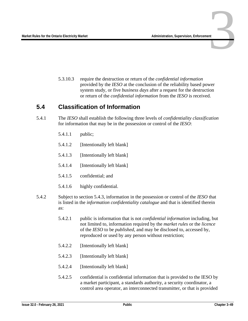5.3.10.3 require the destruction or return of the *confidential information* provided by the *IESO* at the conclusion of the reliability based power system study*,* or five *business days* after a request for the destruction or return of the *confidential information* from the *IESO* is received.

#### **5.4 Classification of Information**

- 5.4.1 The *IESO* shall establish the following three levels of *confidentiality classification* for information that may be in the possession or control of the *IESO*:
	- 5.4.1.1 public;
	- 5.4.1.2 [Intentionally left blank]
	- 5.4.1.3 [Intentionally left blank]
	- 5.4.1.4 [Intentionally left blank]
	- 5.4.1.5 confidential; and
	- 5.4.1.6 highly confidential.
- 5.4.2 Subject to section 5.4.3, information in the possession or control of the *IESO* that is listed in the *information confidentiality catalogue* and that is identified therein as:
	- 5.4.2.1 public is information that is not *confidential information* including, but not limited to, information required by the *market rules* or the *licence*  of the *IESO* to be *published*, and may be disclosed to, accessed by, reproduced or used by any person without restriction;
	- 5.4.2.2 [Intentionally left blank]
	- 5.4.2.3 [Intentionally left blank]
	- 5.4.2.4 [Intentionally left blank]
	- 5.4.2.5 confidential is confidential information that is provided to the IESO by a market participant, a standards authority, a security coordinator, a control area operator, an interconnected transmitter, or that is provided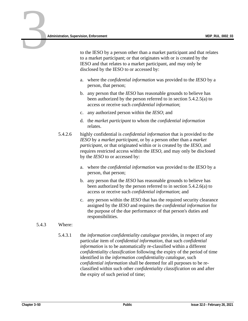Administration, Supervision, Enforcement<br>3<br>4 Administration, Supervision, Enforcement<br>3<br>4 Administration, Supervision, Enforcement<br>3<br>4 Administration of the IESO by a person other than a market participant and that relates to the IESO by a person other than a market participant and that relates to a market participant; or that originates with or is created by the IESO and that relates to a market participant, and may only be disclosed by the IESO to or accessed by:

- a. where the *confidential information* was provided to the *IESO* by a person, that person;
- b. any person that the *IESO* has reasonable grounds to believe has been authorized by the person referred to in section 5.4.2.5(a) to access or receive such *confidential information*;
- c. any authorized person within the *IESO*; and
- d. the *market participant* to whom the *confidential information* relates.
- 5.4.2.6 highly confidential is *confidential information* that is provided to the *IESO* by a *market participant,* or by a person other than a *market participant,* or that originated within or is created by the *IESO*, and requires restricted access within the *IESO*, and may only be disclosed by the *IESO* to or accessed by:
	- a. where the *confidential information* was provided to the *IESO* by a person, that person;
	- b. any person that the *IESO* has reasonable grounds to believe has been authorized by the person referred to in section 5.4.2.6(a) to access or receive such *confidential information*; and
	- c. any person within the *IESO* that has the required security clearance assigned by the *IESO* and requires the *confidential information* for the purpose of the due performance of that person's duties and responsibilities.

#### 5.4.3 Where:

5.4.3.1 the *information confidentiality catalogue* provides, in respect of any particular item of *confidential information*, that such *confidential information* is to be automatically re-classified within a different *confidentiality classification* following the expiry of the period of time identified in the *information confidentiality catalogue*, such *confidential information* shall be deemed for all purposes to be reclassified within such other *confidentiality classification* on and after the expiry of such period of time;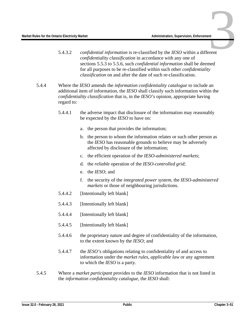- **Market Rules for the Ontario Electricity Market**<br>
5.4.3.2 *confidential information* is re-classified by the *IESO* within a different<br>
confidentiality classification in accordance with any one of 5.4.3.2 *confidential information* is re-classified by the *IESO* within a different *confidentiality classification* in accordance with any one of sections 5.5.3 to 5.5.6, such *confidential information* shall be deemed for all purposes to be re-classified within such other *confidentiality classification* on and after the date of such re-classification.
	- 5.4.4 Where the *IESO* amends the *information confidentiality catalogue* to include an additional item of information, the *IESO* shall classify such information within the *confidentiality classification* that is, in the *IESO's* opinion, appropriate having regard to:
		- 5.4.4.1 the adverse impact that disclosure of the information may reasonably be expected by the *IESO* to have on:
			- a. the person that provides the information;
			- b. the person to whom the information relates or such other person as the *IESO* has reasonable grounds to believe may be adversely affected by disclosure of the information;
			- c. the efficient operation of the *IESO-administered markets*;
			- d. the *reliable* operation of the *IESO-controlled grid*;
			- e. the *IESO*; and
			- f. the security of the *integrated power system*, the *IESO-administered markets* or those of neighbouring jurisdictions.
		- 5.4.4.2 [Intentionally left blank]
		- 5.4.4.3 [Intentionally left blank]
		- 5.4.4.4 [Intentionally left blank]
		- 5.4.4.5 [Intentionally left blank]
		- 5.4.4.6 the proprietary nature and degree of confidentiality of the information, to the extent known by the *IESO*; and
		- 5.4.4.7 the *IESO's* obligations relating to confidentiality of and access to information under the *market rules*, *applicable law* or any agreement to which the *IESO* is a party.
	- 5.4.5 Where a *market participant* provides to the *IESO* information that is not listed in the *information confidentiality catalogue*, the *IESO* shall: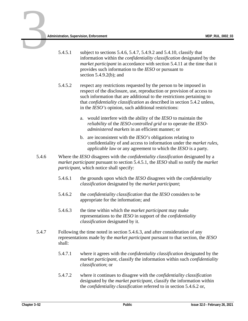- Administration, Supervision, Enforcement<br>
3.4.5.1 subject to sections 5.4.6, 5.4.7, 5.4.9.2 and 5.4.10, classify that<br>
information within the *confidentiality classification* designated by the 5.4.5.1 subject to sections 5.4.6, 5.4.7, 5.4.9.2 and 5.4.10, classify that information within the *confidentiality classification* designated by the *market participant* in accordance with section 5.4.11 at the time that it provides such information to the *IESO* or pursuant to section 5.4.9.2(b); and
	- 5.4.5.2 respect any restrictions requested by the person to be imposed in respect of the disclosure, use, reproduction or provision of access to such information that are additional to the restrictions pertaining to that *confidentiality classification* as described in section 5.4.2 unless, in the *IESO's* opinion, such additional restrictions:
		- a. would interfere with the ability of the *IESO* to maintain the *reliability* of the *IESO-controlled grid* or to operate the *IESOadministered markets* in an efficient manner; or
		- b. are inconsistent with the *IESO's* obligations relating to confidentiality of and access to information under the *market rules*, *applicable law* or any agreement to which the *IESO* is a party.
	- 5.4.6 Where the *IESO* disagrees with the *confidentiality classification* designated by a *market participant* pursuant to section 5.4.5.1, the *IESO* shall so notify the *market participant*, which notice shall specify:
		- 5.4.6.1 the grounds upon which the *IESO* disagrees with the *confidentiality classification* designated by the *market participant*;
		- 5.4.6.2 the *confidentiality classification* that the *IESO* considers to be appropriate for the information; and
		- 5.4.6.3 the time within which the *market participant* may make representations to the *IESO* in support of the *confidentiality classification* designated by it.
	- 5.4.7 Following the time noted in section 5.4.6.3, and after consideration of any representations made by the *market participant* pursuant to that section, the *IESO* shall:
		- 5.4.7.1 where it agrees with the *confidentiality classification* designated by the *market participant*, classify the information within such *confidentiality classification*; or
		- 5.4.7.2 where it continues to disagree with the *confidentiality classification* designated by the *market participant*, classify the information within the *confidentiality classification* referred to in section 5.4.6.2 or,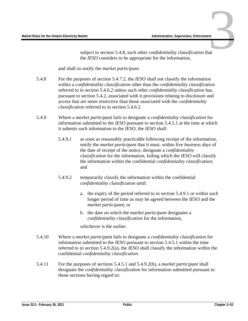Market Rules for the Ontario Electricity Market<br>
Subject to section 5.4.8, such other *confidentiality classification* that<br>
the *IESO* considers to be appropriate for the information, subject to section 5.4.8, such other *confidentiality classification* that the *IESO* considers to be appropriate for the information,

and shall so notify the *market participant*.

- 5.4.8 For the purposes of section 5.4.7.2, the *IESO* shall not classify the information within a *confidentiality classification* other than the *confidentiality classification* referred to in section 5.4.6.2 unless such other *confidentiality classification* has, pursuant to section 5.4.2, associated with it provisions relating to disclosure and access that are more restrictive than those associated with the *confidentiality classification* referred to in section 5.4.6.2.
- 5.4.9 Where a *market participant* fails to designate a *confidentiality classification* for information submitted to the *IESO* pursuant to section 5.4.5.1 at the time at which it submits such information to the *IESO*, the *IESO* shall:
	- 5.4.9.1 as soon as reasonably practicable following receipt of the information, notify the *market participant* that it must, within five *business days* of the date of receipt of the notice, designate a *confidentiality classification* for the information, failing which the *IESO* will classify the information within the confidential *confidentiality classification*; and
	- 5.4.9.2 temporarily classify the information within the confidential *confidentiality classification* until:
		- a. the expiry of the period referred to in section 5.4.9.1 or within such longer period of time as may be agreed between the *IESO* and the *market participant*; or
		- b. the date on which the *market participant* designates a *confidentiality classification* for the information,

whichever is the earlier.

- 5.4.10 Where a *market participant* fails to designate a *confidentiality classification* for information submitted to the *IESO* pursuant to section 5.4.5.1 within the time referred to in section 5.4.9.2(a), the *IESO* shall classify the information within the confidential *confidentiality classification*.
- 5.4.11 For the purposes of sections 5.4.5.1 and 5.4.9.2(b), a *market participant* shall designate the *confidentiality classification* for information submitted pursuant to those sections having regard to: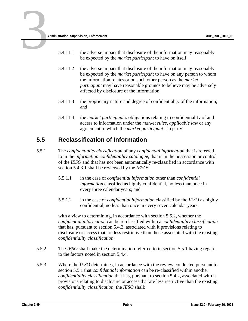- Administration, Supervision, Enforcement<br>
3.4.11.1 the adverse impact that disclosure of the information may reasonably<br>
be expected by the *market participant* to have on itself; 5.4.11.1 the adverse impact that disclosure of the information may reasonably be expected by the *market participant* to have on itself;
	- 5.4.11.2 the adverse impact that disclosure of the information may reasonably be expected by the *market participant* to have on any person to whom the information relates or on such other person as the *market participant* may have reasonable grounds to believe may be adversely affected by disclosure of the information;
	- 5.4.11.3 the proprietary nature and degree of confidentiality of the information; and
	- 5.4.11.4 the *market participant's* obligations relating to confidentiality of and access to information under the *market rules*, *applicable law* or any agreement to which the *market participant* is a party.

#### **5.5 Reclassification of Information**

- 5.5.1 The *confidentiality classification* of any *confidential information* that is referred to in the *information confidentiality catalogue*, that is in the possession or control of the *IESO* and that has not been automatically re-classified in accordance with section 5.4.3.1 shall be reviewed by the *IESO*:
	- 5.5.1.1 in the case of *confidential information* other than *confidential information* classified as highly confidential, no less than once in every three calendar years; and
	- 5.5.1.2 in the case of *confidential information* classified by the *IESO* as highly confidential, no less than once in every seven calendar years,

with a view to determining, in accordance with section 5.5.2, whether the *confidential information* can be re-classified within a *confidentiality classification*  that has, pursuant to section 5.4.2, associated with it provisions relating to disclosure or access that are less restrictive than those associated with the existing *confidentiality classification*.

- 5.5.2 The *IESO* shall make the determination referred to in section 5.5.1 having regard to the factors noted in section 5.4.4.
- 5.5.3 Where the *IESO* determines, in accordance with the review conducted pursuant to section 5.5.1 that *confidential information* can be re-classified within another *confidentiality classification* that has, pursuant to section 5.4.2, associated with it provisions relating to disclosure or access that are less restrictive than the existing *confidentiality classification*, the *IESO* shall: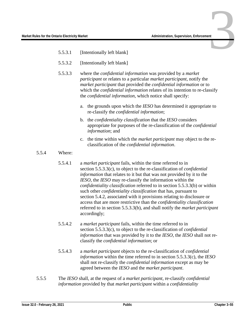- Market Rules for the Ontario Electricity Market<br>
5.5.3.1 [Intentionally left blank]<br> **Administration, Supervision, Enforcement** 5.5.3.1 [Intentionally left blank]
	- 5.5.3.2 [Intentionally left blank]
	- 5.5.3.3 where the *confidential information* was provided by a *market participant* or relates to a particular *market participant*, notify the *market participant* that provided the *confidential information* or to which the *confidential information* relates of its intention to re-classify the *confidential information*, which notice shall specify:
		- a. the grounds upon which the *IESO* has determined it appropriate to re-classify the *confidential information*;
		- b. the *confidentiality classification* that the *IESO* considers appropriate for purposes of the re-classification of the *confidential information*; and
		- c. the time within which the *market participant* may object to the reclassification of the *confidential information*.
	- 5.5.4 Where:
		- 5.5.4.1 a *market participant* fails, within the time referred to in section 5.5.3.3(c), to object to the re-classification of *confidential information* that relates to it but that was not provided by it to the *IESO*, the *IESO* may re-classify the information within the *confidentiality classification* referred to in section 5.5.3.3(b) or within such other *confidentiality classification* that has, pursuant to section 5.4.2, associated with it provisions relating to disclosure or access that are more restrictive than the *confidentiality classification* referred to in section 5.5.3.3(b), and shall notify the *market participant*  accordingly;
		- 5.5.4.2 a *market participant* fails, within the time referred to in section 5.5.3.3(c), to object to the re-classification of *confidential information* that was provided by it to the *IESO*, the *IESO* shall not reclassify the *confidential information*; or
		- 5.5.4.3 a *market participant* objects to the re-classification of *confidential information* within the time referred to in section 5.5.3.3(c), the *IESO* shall not re-classify the *confidential information* except as may be agreed between the *IESO* and the *market participant*.
	- 5.5.5 The *IESO* shall, at the request of a *market participant*, re-classify *confidential information* provided by that *market participant* within a *confidentiality*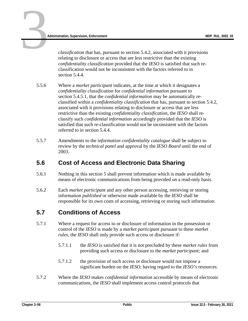Administration, Supervision, Enforcement<br> *Classification* that has, pursuant to section 5.4.2, associated with it provisions<br>
relating to disclosure or access that are less restrictive than the existing *classification* that has, pursuant to section 5.4.2, associated with it provisions relating to disclosure or access that are less restrictive than the existing *confidentiality classification* provided that the *IESO* is satisfied that such reclassification would not be inconsistent with the factors referred to in section 5.4.4.

- 5.5.6 Where a *market participant* indicates, at the time at which it designates a *confidentiality classification* for *confidential information* pursuant to section 5.4.5.1, that the *confidential information* may be automatically reclassified within a *confidentiality classification* that has, pursuant to section 5.4.2, associated with it provisions relating to disclosure or access that are less restrictive than the existing *confidentiality classification*, the *IESO* shall reclassify such *confidential information* accordingly provided that the *IESO* is satisfied that such re-classification would not be inconsistent with the factors referred to in section 5.4.4.
- 5.5.7 Amendments to the *information confidentiality catalogue* shall be subject to review by the *technical panel* and approval by the *IESO Board* until the end of 2003.

#### **5.6 Cost of Access and Electronic Data Sharing**

- 5.6.1 Nothing in this section 5 shall prevent information which is made available by means of electronic communications from being provided on a read-only basis.
- 5.6.2 Each *market participant* and any other person accessing, retrieving or storing information *published* or otherwise made available by the *IESO* shall be responsible for its own costs of accessing, retrieving or storing such information.

#### **5.7 Conditions of Access**

- 5.7.1 Where a request for access to or disclosure of information in the possession or control of the *IESO* is made by a *market participant* pursuant to these *market rules*, the *IESO* shall only provide such access or disclosure if:
	- 5.7.1.1 the *IESO* is satisfied that it is not precluded by these *market rules* from providing such access or disclosure to the *market participant;* and
	- 5.7.1.2 the provision of such access or disclosure would not impose a significant burden on the *IESO*, having regard to the *IESO's* resources.
- 5.7.2 Where the *IESO* makes *confidential information* accessible by means of electronic communications, the *IESO* shall implement access control protocols that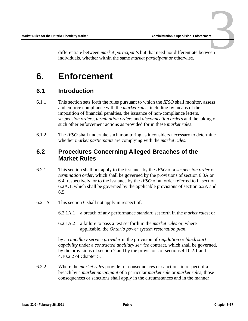**Market Rules for the Ontario Electricity Market**<br> **Administration, Supervision, Enforcement**<br>
differentiate between *market participants* but that need not differentiate between<br>
individuals, whether within the same *mark* differentiate between *market participants* but that need not differentiate between individuals, whether within the same *market participant* or otherwise.

### **6. Enforcement**

#### **6.1 Introduction**

- 6.1.1 This section sets forth the rules pursuant to which the *IESO* shall monitor, assess and enforce compliance with the *market rules*, including by means of the imposition of financial penalties, the issuance of non-compliance letters, *suspension orders, termination orders* and *disconnection orders* and the taking of such other enforcement actions as provided for in these *market rules*.
- 6.1.2 The *IESO* shall undertake such monitoring as it considers necessary to determine whether *market participants* are complying with the *market rules*.

#### **6.2 Procedures Concerning Alleged Breaches of the Market Rules**

- 6.2.1 This section shall not apply to the issuance by the *IESO* of a *suspension order* or *termination order*, which shall be governed by the provisions of section 6.3A or 6.4, respectively, or to the issuance by the *IESO* of an order referred to in section 6.2A.1, which shall be governed by the applicable provisions of section 6.2A and 6.5.
- 6.2.1A This section 6 shall not apply in respect of:
	- 6.2.1A.1 a breach of any performance standard set forth in the *market rules*; or
	- 6.2.1A.2 a failure to pass a test set forth in the *market rules* or, where applicable, the *Ontario power system restoration plan*,

by an *ancillary service provider* in the provision of *regulation* or *black start capability* under a *contracted ancillary service* contract, which shall be governed, by the provisions of section 7 and by the provisions of sections 4.10.2.1 and 4.10.2.2 of Chapter 5.

6.2.2 Where the *market rules* provide for consequences or sanctions in respect of a breach by a *market participant* of a particular *market rule* or *market rules*, those consequences or sanctions shall apply in the circumstances and in the manner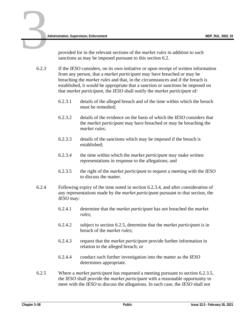Administration, Supervision, Enforcement<br>
provided for in the relevant sections of the *market rules* in addition to such<br>
sanctions as may be imposed pursuant to this section 6.2. provided for in the relevant sections of the *market rules* in addition to such sanctions as may be imposed pursuant to this section 6.2.

- 6.2.3 If the *IESO* considers, on its own initiative or upon receipt of written information from any person, that a *market participant* may have breached or may be breaching the *market rules* and that, in the circumstances and if the breach is established, it would be appropriate that a sanction or sanctions be imposed on that *market participant*, the *IESO* shall notify the *market participant* of:
	- 6.2.3.1 details of the alleged breach and of the time within which the breach must be remedied;
	- 6.2.3.2 details of the evidence on the basis of which the *IESO* considers that the *market participant* may have breached or may be breaching the *market rules*;
	- 6.2.3.3 details of the sanctions which may be imposed if the breach is established;
	- 6.2.3.4 the time within which the *market participant* may make written representations in response to the allegations; and
	- 6.2.3.5 the right of the *market participant* to request a meeting with the *IESO* to discuss the matter.
- 6.2.4 Following expiry of the time noted in section 6.2.3.4, and after consideration of any representations made by the *market participant* pursuant to that section, the *IESO* may:
	- 6.2.4.1 determine that the *market participant* has not breached the *market rules*;
	- 6.2.4.2 subject to section 6.2.5, determine that the *market participant* is in breach of the *market rules*;
	- 6.2.4.3 request that the *market participant* provide further information in relation to the alleged breach; or
	- 6.2.4.4 conduct such further investigation into the matter as the *IESO* determines appropriate.
- 6.2.5 Where a *market participant* has requested a meeting pursuant to section 6.2.3.5, the *IESO* shall provide the *market participant* with a reasonable opportunity to meet with the *IESO* to discuss the allegations. In such case, the *IESO* shall not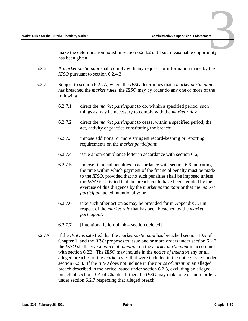Market Rules for the Ontario Electricity Market<br>
make the determination noted in section 6.2.4.2 until such reasonable opportunity<br>
has been given. make the determination noted in section 6.2.4.2 until such reasonable opportunity has been given.

- 6.2.6 A *market participant* shall comply with any request for information made by the *IESO* pursuant to section 6.2.4.3.
- 6.2.7 Subject to section 6.2.7A, where the *IESO* determines that a *market participant* has breached the *market rules*, the *IESO* may by order do any one or more of the following:
	- 6.2.7.1 direct the *market participant* to do, within a specified period, such things as may be necessary to comply with the *market rules*;
	- 6.2.7.2 direct the *market participant* to cease, within a specified period, the act, activity or practice constituting the breach;
	- 6.2.7.3 impose additional or more stringent record-keeping or reporting requirements on the *market participant*;
	- 6.2.7.4 issue a non-compliance letter in accordance with section 6.6;
	- 6.2.7.5 impose financial penalties in accordance with section 6.6 indicating the time within which payment of the financial penalty must be made to the *IESO*, provided that no such penalties shall be imposed unless the *IESO* is satisfied that the breach could have been avoided by the exercise of due diligence by the *market participant* or that the *market participant* acted intentionally; or
	- 6.2.7.6 take such other action as may be provided for in Appendix 3.1 in respect of the *market rule* that has been breached by the *market participant*.
	- 6.2.7.7 [Intentionally left blank section deleted]
- 6.2.7A If the *IESO* is satisfied that the *market participant* has breached section 10A of Chapter 1, and the *IESO* proposes to issue one or more orders under section 6.2.7, the *IESO* shall serve a *notice of intention* on the *market participant* in accordance with section 6.2B. The *IESO* may include in the *notice of intention* any or all alleged breaches of the *market rules* that were included in the notice issued under section 6.2.3. If the *IESO* does not include in the *notice of intention* an alleged breach described in the notice issued under section 6.2.3, excluding an alleged breach of section 10A of Chapter 1, then the *IESO* may make one or more orders under section 6.2.7 respecting that alleged breach.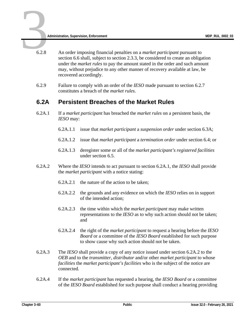- Administration, Supervision, Enforcement<br>
3.2.8 An order imposing financial penalties on a *market participant* pursuant to<br>
3.2.8 An order imposing financial penalties on a *market participant* pursuant to<br>
3.3.3, be cons 6.2.8 An order imposing financial penalties on a *market participant* pursuant to section 6.6 shall, subject to section 2.3.3, be considered to create an obligation under the *market rules* to pay the amount stated in the order and such amount may, without prejudice to any other manner of recovery available at law, be recovered accordingly.
	- 6.2.9 Failure to comply with an order of the *IESO* made pursuant to section 6.2.7 constitutes a breach of the *market rules*.

#### **6.2A Persistent Breaches of the Market Rules**

- 6.2A.1 If a *market participant* has breached the *market rules* on a persistent basis, the *IESO* may:
	- 6.2A.1.1 issue that *market participant* a *suspension order* under section 6.3A;
	- 6.2A.1.2 issue that *market participant* a *termination order* under section 6.4; or
	- 6.2A.1.3 deregister some or all of the *market participant's registered facilities*  under section 6.5.
- 6.2A.2 Where the *IESO* intends to act pursuant to section 6.2A.1, the *IESO* shall provide the *market participant* with a notice stating:
	- 6.2A.2.1 the nature of the action to be taken;
	- 6.2A.2.2 the grounds and any evidence on which the *IESO* relies on in support of the intended action;
	- 6.2A.2.3 the time within which the *market participant* may make written representations to the *IESO* as to why such action should not be taken; and
	- 6.2A.2.4 the right of the *market participant* to request a hearing before the *IESO Board* or a committee of the *IESO Board* established for such purpose to show cause why such action should not be taken.
- 6.2A.3 The *IESO* shall provide a copy of any notice issued under section 6.2A.2 to the *OEB* and to the *transmitter, distributor* and/or other *market participant* to whose *facilities* the *market participant's facilities* who is the subject of the notice are connected*.*
- 6.2A.4 If the *market participant* has requested a hearing, the *IESO Board* or a committee of the *IESO Board* established for such purpose shall conduct a hearing providing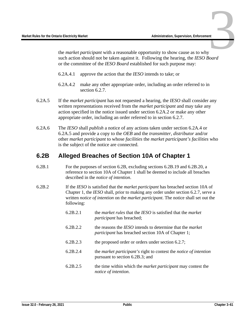**Market Rules for the Ontario Electricity Market**<br> **Administration, Supervision, Enforcement**<br> **Administration, Supervision, Enforcement**<br> **Administration, Supervision, Enforcement**<br> **Administration, Supervision, Enforceme** the *market participant* with a reasonable opportunity to show cause as to why such action should not be taken against it. Following the hearing, the *IESO Board* or the committee of the *IESO Board* established for such purpose may:

- 6.2A.4.1 approve the action that the *IESO* intends to take; or
- 6.2A.4.2 make any other appropriate order, including an order referred to in section 6.2.7.
- 6.2A.5 If the *market participant* has not requested a hearing, the *IESO* shall consider any written representations received from the *market participant* and may take any action specified in the notice issued under section 6.2A.2 or make any other appropriate order, including an order referred to in section 6.2.7.
- 6.2A.6 The *IESO* shall *publish* a notice of any actions taken under section 6.2A.4 or 6.2A.5 and provide a copy to the *OEB* and the *transmitter*, *distributor* and/or other *market participant* to whose *facilities* the *market participant's facilities* who is the subject of the notice are connected.

#### **6.2B Alleged Breaches of Section 10A of Chapter 1**

- 6.2B.1 For the purposes of section 6.2B, excluding sections 6.2B.19 and 6.2B.20, a reference to section 10A of Chapter 1 shall be deemed to include all breaches described in the *notice of intention*.
- 6.2B.2 If the *IESO* is satisfied that the *market participant* has breached section 10A of Chapter 1, the *IESO* shall, prior to making any order under section 6.2.7, serve a written *notice of intention* on the *market participant*. The notice shall set out the following:
	- 6.2B.2.1 the *market rules* that the *IESO* is satisfied that the *market participant* has breached;
	- 6.2B.2.2 the reasons the *IESO* intends to determine that the *market participant* has breached section 10A of Chapter 1;
	- 6.2B.2.3 the proposed order or orders under section 6.2.7;
	- 6.2B.2.4 the *market participant's* right to contest the *notice of intention* pursuant to section 6.2B.3; and
	- 6.2B.2.5 the time within which the *market participant* may contest the *notice of intention*.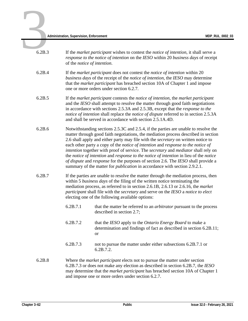| Administration, Supervision, Enforcement<br>MDP_RUL_0002_03 |                                                                                                                                                                                                                                                                                                                                                                                                                                                                                                                                                                                                                                                                                                                   |                                                                                                                                                                                                                                                                                                                                                                                                                       |  |  |
|-------------------------------------------------------------|-------------------------------------------------------------------------------------------------------------------------------------------------------------------------------------------------------------------------------------------------------------------------------------------------------------------------------------------------------------------------------------------------------------------------------------------------------------------------------------------------------------------------------------------------------------------------------------------------------------------------------------------------------------------------------------------------------------------|-----------------------------------------------------------------------------------------------------------------------------------------------------------------------------------------------------------------------------------------------------------------------------------------------------------------------------------------------------------------------------------------------------------------------|--|--|
|                                                             |                                                                                                                                                                                                                                                                                                                                                                                                                                                                                                                                                                                                                                                                                                                   |                                                                                                                                                                                                                                                                                                                                                                                                                       |  |  |
| 6.2B.3                                                      |                                                                                                                                                                                                                                                                                                                                                                                                                                                                                                                                                                                                                                                                                                                   | If the <i>market participant</i> wishes to contest the <i>notice of intention</i> , it shall serve a<br>response to the notice of intention on the IESO within 20 business days of receipt<br>of the <i>notice</i> of <i>intention</i> .                                                                                                                                                                              |  |  |
| 6.2B.4                                                      |                                                                                                                                                                                                                                                                                                                                                                                                                                                                                                                                                                                                                                                                                                                   | If the <i>market participant</i> does not contest the <i>notice of intention</i> within 20<br>business days of the receipt of the notice of intention, the IESO may determine<br>that the <i>market participant</i> has breached section 10A of Chapter 1 and impose<br>one or more orders under section 6.2.7.                                                                                                       |  |  |
| 6.2B.5                                                      |                                                                                                                                                                                                                                                                                                                                                                                                                                                                                                                                                                                                                                                                                                                   | If the market participant contests the notice of intention, the market participant<br>and the IESO shall attempt to resolve the matter through good faith negotiations<br>in accordance with sections 2.5.3A and 2.5.3B, except that the <i>response to the</i><br>notice of intention shall replace the notice of dispute referred to in section 2.5.3A<br>and shall be served in accordance with section 2.5.1A.4D. |  |  |
| 6.2B.6                                                      | Notwithstanding sections 2.5.3C and 2.5.4, if the parties are unable to resolve the<br>matter through good faith negotiations, the mediation process described in section<br>2.6 shall apply and either party may file with the <i>secretary</i> on written notice to<br>each other party a copy of the notice of intention and response to the notice of<br>intention together with proof of service. The secretary and mediator shall rely on<br>the notice of intention and response to the notice of intention in lieu of the notice<br>of dispute and response for the purposes of section 2.6. The IESO shall provide a<br>summary of the matter for <i>publication</i> in accordance with section 2.9.2.1. |                                                                                                                                                                                                                                                                                                                                                                                                                       |  |  |
| 6.2B.7                                                      | If the parties are unable to resolve the matter through the mediation process, then<br>within 5 business days of the filing of the written notice terminating the<br>mediation process, as referred to in section 2.6.1B, 2.6.13 or 2.6.16, the market<br>participant shall file with the <i>secretary</i> and serve on the <i>IESO</i> a notice to elect<br>electing one of the following available options:                                                                                                                                                                                                                                                                                                     |                                                                                                                                                                                                                                                                                                                                                                                                                       |  |  |
|                                                             | 6.2B.7.1                                                                                                                                                                                                                                                                                                                                                                                                                                                                                                                                                                                                                                                                                                          | that the matter be referred to an <i>arbitrator</i> pursuant to the process<br>described in section 2.7;                                                                                                                                                                                                                                                                                                              |  |  |
|                                                             | 6.2B.7.2                                                                                                                                                                                                                                                                                                                                                                                                                                                                                                                                                                                                                                                                                                          | that the IESO apply to the Ontario Energy Board to make a<br>determination and findings of fact as described in section 6.2B.11;<br><b>or</b>                                                                                                                                                                                                                                                                         |  |  |
|                                                             | 6.2B.7.3                                                                                                                                                                                                                                                                                                                                                                                                                                                                                                                                                                                                                                                                                                          | not to pursue the matter under either subsections 6.2B.7.1 or<br>6.2B.7.2.                                                                                                                                                                                                                                                                                                                                            |  |  |
| 6.2B.8                                                      | Where the <i>market participant</i> elects not to pursue the matter under section<br>6.2B.7.3 or does not make any election as described in section 6.2B.7, the IESO<br>may determine that the <i>market participant</i> has breached section 10A of Chapter 1<br>and impose one or more orders under section 6.2.7.                                                                                                                                                                                                                                                                                                                                                                                              |                                                                                                                                                                                                                                                                                                                                                                                                                       |  |  |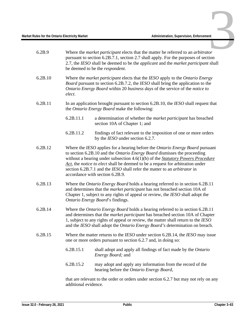| Market Rules for the Ontario Electricity Market |                                                                                                                                                                                                                                                                                                                                                                                                                                                                     | Administration, Supervision, Enforcement                                                                                                                          |  |
|-------------------------------------------------|---------------------------------------------------------------------------------------------------------------------------------------------------------------------------------------------------------------------------------------------------------------------------------------------------------------------------------------------------------------------------------------------------------------------------------------------------------------------|-------------------------------------------------------------------------------------------------------------------------------------------------------------------|--|
| 6.2B.9                                          | Where the <i>market participant</i> elects that the matter be referred to an <i>arbitrator</i><br>pursuant to section 6.2B.7.1, section 2.7 shall apply. For the purposes of section<br>2.7, the IESO shall be deemed to be the <i>applicant</i> and the <i>market participant</i> shall<br>be deemed to be the <i>respondent</i> .                                                                                                                                 |                                                                                                                                                                   |  |
| 6.2B.10                                         | Where the <i>market participant</i> elects that the <i>IESO</i> apply to the <i>Ontario Energy</i><br>Board pursuant to section 6.2B.7.2, the IESO shall bring the application to the<br>Ontario Energy Board within 20 business days of the service of the notice to<br>elect.                                                                                                                                                                                     |                                                                                                                                                                   |  |
| 6.2B.11                                         | In an application brought pursuant to section 6.2B.10, the <i>IESO</i> shall request that<br>the Ontario Energy Board make the following:                                                                                                                                                                                                                                                                                                                           |                                                                                                                                                                   |  |
|                                                 | 6.2B.11.1                                                                                                                                                                                                                                                                                                                                                                                                                                                           | a determination of whether the market participant has breached<br>section 10A of Chapter 1; and                                                                   |  |
|                                                 | 6.2B.11.2                                                                                                                                                                                                                                                                                                                                                                                                                                                           | findings of fact relevant to the imposition of one or more orders<br>by the <i>IESO</i> under section 6.2.7.                                                      |  |
| 6.2B.12                                         | Where the IESO applies for a hearing before the Ontario Energy Board pursuant<br>to section 6.2B.10 and the Ontario Energy Board dismisses the proceeding<br>without a hearing under subsection $4.6(1)(b)$ of the <i>Statutory Powers Procedure</i><br>Act, the notice to elect shall be deemed to be a request for arbitration under<br>section 6.2B.7.1 and the <i>IESO</i> shall refer the matter to an <i>arbitrator</i> in<br>accordance with section 6.2B.9. |                                                                                                                                                                   |  |
| 6.2B.13                                         | Where the <i>Ontario Energy Board</i> holds a hearing referred to in section 6.2B.11<br>and determines that the <i>market participant</i> has not breached section 10A of<br>Chapter 1, subject to any rights of appeal or review, the <i>IESO</i> shall adopt the<br><b>Ontario Energy Board's findings.</b>                                                                                                                                                       |                                                                                                                                                                   |  |
| 6.2B.14                                         | Where the <i>Ontario Energy Board</i> holds a hearing referred to in section 6.2B.11<br>and determines that the <i>market participant</i> has breached section 10A of Chapter<br>1, subject to any rights of appeal or review, the matter shall return to the IESO<br>and the IESO shall adopt the Ontario Energy Board's determination on breach.                                                                                                                  |                                                                                                                                                                   |  |
| 6.2B.15                                         |                                                                                                                                                                                                                                                                                                                                                                                                                                                                     | Where the matter returns to the <i>IESO</i> under section $6.2B.14$ , the <i>IESO</i> may issue<br>one or more orders pursuant to section 6.2.7 and, in doing so: |  |
|                                                 | 6.2B.15.1                                                                                                                                                                                                                                                                                                                                                                                                                                                           | shall adopt and apply all findings of fact made by the Ontario<br><i>Energy Board;</i> and                                                                        |  |
|                                                 | 6.2B.15.2                                                                                                                                                                                                                                                                                                                                                                                                                                                           | may adopt and apply any information from the record of the<br>hearing before the Ontario Energy Board,                                                            |  |

that are relevant to the order or orders under section 6.2.7 but may not rely on any additional evidence.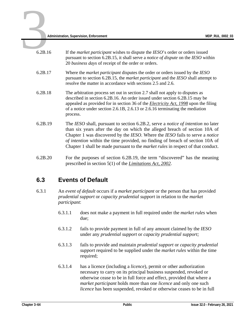|                  | Administration, Supervision, Enforcement                                                                                                                                                                                                                                                                                                                                                                                                         | MDP_RUL_0002_03 |
|------------------|--------------------------------------------------------------------------------------------------------------------------------------------------------------------------------------------------------------------------------------------------------------------------------------------------------------------------------------------------------------------------------------------------------------------------------------------------|-----------------|
|                  |                                                                                                                                                                                                                                                                                                                                                                                                                                                  |                 |
| 6.2B.16          | If the <i>market participant</i> wishes to dispute the <i>IESO</i> 's order or orders issued<br>pursuant to section 6.2B.15, it shall serve a <i>notice of dispute</i> on the IESO within<br>20 business days of receipt of the order or orders.                                                                                                                                                                                                 |                 |
| 6.2B.17          | Where the <i>market participant</i> disputes the order or orders issued by the <i>IESO</i><br>pursuant to section 6.2B.15, the <i>market participant</i> and the IESO shall attempt to<br>resolve the matter in accordance with sections 2.5 and 2.6.                                                                                                                                                                                            |                 |
| 6.2B.18          | The arbitration process set out in section 2.7 shall not apply to disputes as<br>described in section 6.2B.16. An order issued under section 6.2B.15 may be<br>appealed as provided for in section 36 of the <i>Electricity Act</i> , 1998 upon the filing<br>of a notice under section 2.6.1B, 2.6.13 or 2.6.16 terminating the mediation<br>process.                                                                                           |                 |
| 6.2B.19          | The IESO shall, pursuant to section 6.2B.2, serve a notice of intention no later<br>than six years after the day on which the alleged breach of section 10A of<br>Chapter 1 was discovered by the <i>IESO</i> . Where the <i>IESO</i> fails to serve a <i>notice</i><br>of intention within the time provided, no finding of breach of section 10A of<br>Chapter 1 shall be made pursuant to the <i>market rules</i> in respect of that conduct. |                 |
| $\epsilon$ on on | $\Gamma$ , at the company of $\Gamma$ , and $\Gamma$ and $\Gamma$ and $\Gamma$ and $\Gamma$ are $\Gamma$ and $\Gamma$ and $\Gamma$ and $\Gamma$ and $\Gamma$ and $\Gamma$ and $\Gamma$ and $\Gamma$ and $\Gamma$ and $\Gamma$ and $\Gamma$ and $\Gamma$ and $\Gamma$ and $\Gamma$ and $\Gamma$ and $\Gamma$ and $\Gamma$ a                                                                                                                       |                 |

6.2B.20 For the purposes of section 6.2B.19, the term "discovered" has the meaning prescribed in section 5(1) of the *Limitations Act, 2002*.

#### **6.3 Events of Default**

- 6.3.1 An *event of default* occurs if a *market participant* or the person that has provided *prudential support* or *capacity prudential support* in relation to the *market participant*:
	- 6.3.1.1 does not make a payment in full required under the *market rules* when due;
	- 6.3.1.2 fails to provide payment in full of any amount claimed by the *IESO* under any *prudential support* or *capacity prudential support;*
	- 6.3.1.3 fails to provide and maintain *prudential support* or *capacity prudential support* required to be supplied under the *market rules* within the time required;
	- 6.3.1.4 has a licence (including a *licence*), permit or other authorization necessary to carry on its principal business suspended, revoked or otherwise cease to be in full force and effect, provided that where a *market participant* holds more than one *licence* and only one such *licence* has been suspended, revoked or otherwise ceases to be in full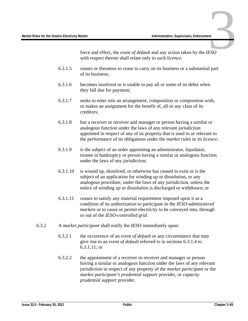**Market Rules for the Ontario Electricity Market**<br> **Administration, Supervision, Enforcement**<br> **Administration, Supervision, Enforcement**<br> **Supervision, Enforcement**<br> **Administration, Supervision, Enforcement**<br> **Administra** force and effect, the *event of default* and any action taken by the *IESO* with respect thereto shall relate only to such *licence*;

- 6.3.1.5 ceases or threatens to cease to carry on its business or a substantial part of its business;
- 6.3.1.6 becomes insolvent or is unable to pay all or some of its debts when they fall due for payment;
- 6.3.1.7 seeks to enter into an arrangement, composition or compromise with, or makes an assignment for the benefit of, all or any class of its creditors;
- 6.3.1.8 has a receiver or receiver and manager or person having a similar or analogous function under the laws of any relevant jurisdiction appointed in respect of any of its property that is used in or relevant to the performance of its obligations under the *market rules* or its *licence*;
- 6.3.1.9 is the subject of an order appointing an administrator, liquidator, trustee in bankruptcy or person having a similar or analogous function under the laws of any jurisdiction;
- 6.3.1.10 is wound up, dissolved, or otherwise has ceased to exist or is the subject of an application for winding up or dissolution, or any analogous procedure, under the laws of any jurisdiction, unless the notice of winding up or dissolution is discharged or withdrawn; or
- 6.3.1.11 ceases to satisfy any material requirement imposed upon it as a condition of its authorization to participate in the *IESO-administered markets* or to cause or permit electricity to be conveyed into, through or out of the *IESO-controlled grid*.
- 6.3.2 A *market participant* shall notify the *IESO* immediately upon:
	- 6.3.2.1 the occurrence of an *event of default* or any circumstance that may give rise to an *event of default* referred to in sections 6.3.1.4 to 6.3.1.11; or
	- 6.3.2.2 the appointment of a receiver or receiver and manager or person having a similar or analogous function under the laws of any relevant jurisdiction in respect of any property of the *market participant* or the *market participant's prudential support* provider, or *capacity prudential support* provider.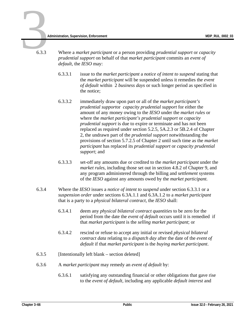- Administration, Supervision, Enforcement<br>
3.3 Where a *market participant* or a person providing *prudential support* or *capacity*<br> *Prudential support* on behalf of that *market participant* commits an *event of* 6.3.3 Where a *market participant* or a person providing *prudential support* or *capacity prudential support* on behalf of that *market participant* commits an *event of default,* the *IESO* may:
	- 6.3.3.1 issue to the *market participant* a *notice of intent to suspend* stating that the *market participant* will be suspended unless it remedies the *event of default* within 2 *business days* or such longer period as specified in the notice;
	- 6.3.3.2 immediately draw upon part or all of the *market participant's prudential support*or *capacity prudential support* for either the amount of any money owing to the *IESO* under the *market rules* or where the *market participant's prudential support* or *capacity prudential support* is due to expire or terminate and has not been replaced as required under section 5.2.5, 5A.2.3 or 5B.2.4 of Chapter 2, the undrawn part of the *prudential support* notwithstanding the provisions of section 5.7.2.5 of Chapter 2 until such time as the *market participant* has replaced its *prudential support* or *capacity prudential support*; and
	- 6.3.3.3 set-off any amounts due or credited to the *market participant* under the *market rules,* including those set out in section 4.8.2 of Chapter 9, and any program administered through the billing and *settlement* systems of the *IESO* against any amounts owed by the *market participant.*
	- 6.3.4 Where the *IESO* issues a *notice of intent to suspend* under section 6.3.3.1 or a *suspension order* under sections 6.3A.1.1 and 6.3A.1.2 to a *market participant*  that is a party to a *physical bilateral contract,* the *IESO* shall:
		- 6.3.4.1 deem any *physical bilateral contract quantities* to be zero for the period from the date the *event of default* occurs until it is remedied if that *market participant* is the *selling market participant*; or
		- 6.3.4.2 rescind or refuse to accept any initial or revised *physical bilateral contract data* relating to a *dispatch day* after the date of the *event of default* if that *market participant* is the *buying market participant*.
	- 6.3.5 [Intentionally left blank section deleted]
	- 6.3.6 A *market participant* may remedy an *event of default* by:
		- 6.3.6.1 satisfying any outstanding financial or other obligations that gave rise to the *event of default,* including any applicable *default interest* and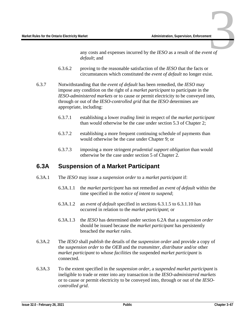Market Rules for the Ontario Electricity Market<br>
any costs and expenses incurred by the *IESO* as a result of the *event of*<br> *default*; and any costs and expenses incurred by the *IESO* as a result of the *event of default*; and

- 6.3.6.2 proving to the reasonable satisfaction of the *IESO* that the facts or circumstances which constituted the *event of default* no longer exist.
- 6.3.7 Notwithstanding that the *event of default* has been remedied, the *IESO* may impose any condition on the right of a *market participant* to participate in the *IESO-administered markets* or to cause or permit electricity to be conveyed into, through or out of the *IESO-controlled grid* that the *IESO* determines are appropriate, including:
	- 6.3.7.1 establishing a lower *trading limit* in respect of the *market participant* than would otherwise be the case under section 5.3 of Chapter 2;
	- 6.3.7.2 establishing a more frequent continuing schedule of payments than would otherwise be the case under Chapter 9; or
	- 6.3.7.3 imposing a more stringent *prudential support obligation* than would otherwise be the case under section 5 of Chapter 2.

#### **6.3A Suspension of a Market Participant**

- 6.3A.1 The *IESO* may issue a *suspension order* to a *market participant* if:
	- 6.3A.1.1 the *market participant* has not remedied an *event of default* within the time specified in the *notice of intent to suspend*;
	- 6.3A.1.2 an *event of default* specified in sections 6.3.1.5 to 6.3.1.10 has occurred in relation to the *market participant*; or
	- 6.3A.1.3 the *IESO* has determined under section 6.2A that a *suspension order*  should be issued because the *market participant* has persistently breached the *market rules*.
- 6.3A.2 The *IESO* shall *publish* the details of the *suspension order* and provide a copy of the *suspension order* to the *OEB* and the *transmitter, distributor* and/or other *market participant* to whose *facilities* the suspended *market participant* is connected.
- 6.3A.3 To the extent specified in the *suspension order,* a *suspended market participant* is ineligible to trade or enter into any transaction in the *IESO-administered markets* or to cause or permit electricity to be conveyed into, through or out of the *IESOcontrolled grid*.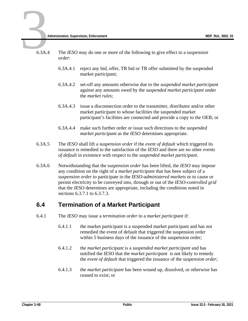- Administration, Supervision, Enforcement<br>
33A.4 The *IESO* may do one or more of the following to give effect to a *suspension*<br>
33A.4 The *IESO* may do one or more of the following to give effect to a *suspension* 6.3A.4 The *IESO* may do one or more of the following to give effect to a *suspension order*:
	- 6.3A.4.1 reject any bid, offer, TR bid or TR offer submitted by the suspended market participant;
	- 6.3A.4.2 set-off any amounts otherwise due to the *suspended market participant*  against any amounts owed by the *suspended market participant* under the *market rules*;
	- 6.3A.4.3 issue a disconnection order to the transmitter, distributor and/or other market participant to whose facilities the suspended market participant's facilities are connected and provide a copy to the OEB; or
	- 6.3A.4.4 make such further order or issue such directions to the *suspended market participant* as the *IESO* determines appropriate.
	- 6.3A.5 The *IESO* shall lift a *suspension order* if the *event of default* which triggered its issuance is remedied to the satisfaction of the *IESO* and there are no other *events of default* in existence with respect to the *suspended market participant*.
	- 6.3A.6 Notwithstanding that the *suspension order* has been lifted, the *IESO* may impose any condition on the right of a *market participant* that has been subject of a *suspension order* to participate in the *IESO-administered markets* or to cause or permit electricity to be conveyed into, through or out of the *IESO-controlled grid*  that the *IESO* determines are appropriate, including the conditions noted in sections 6.3.7.1 to 6.3.7.3.

#### **6.4 Termination of a Market Participant**

- 6.4.1 The *IESO* may issue a *termination order* to a *market participant* if:
	- 6.4.1.1 the market participant is a suspended market participant and has not remedied the event of default that triggered the suspension order within 5 business days of the issuance of the suspension order;
	- 6.4.1.2 the *market participant* is a *suspended market participant* and has notified the *IESO* that the *market participant* is not likely to remedy the *event of default* that triggered the issuance of the *suspension order*;
	- 6.4.1.3 the *market participant* has been wound up, dissolved, or otherwise has ceased to exist; or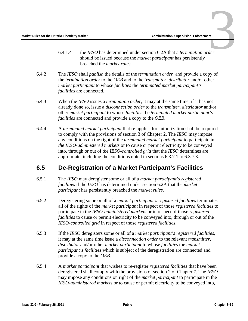- **Market Rules for the Ontario Electricity Market**<br> **Administration, Supervision, Enforcement**<br> **Administration, Supervision, Enforcement**<br> **3.4.1.4 the IESO has determined under section 6.2A that a** *termination order***<br>
<b>** 6.4.1.4 the *IESO* has determined under section 6.2A that a *termination order*  should be issued because the *market participant* has persistently breached the *market rules*.
	- 6.4.2 The *IESO* shall *publish* the details of the *termination order* and provide a copy of the *termination order* to the *OEB* and to the *transmitter, distributor* and/or other *market participant* to whose *facilities* the *terminated market participant's facilities* are connected.
	- 6.4.3 When the *IESO* issues a *termination order*, it may at the same time, if it has not already done so, issue a *disconnection order* to the *transmitter, distributor* and/or other *market participant* to whose *facilities* the *terminated market participant's facilities* are connected and provide a copy to the *OEB*.
	- 6.4.4 A *terminated market participant* that re-applies for authorization shall be required to comply with the provisions of section 3 of Chapter 2. The *IESO* may impose any conditions on the right of the *terminated market participant* to participate in *the IESO-administered markets* or to cause or permit electricity to be conveyed into, through or out of *the IESO-controlled grid* that the *IESO* determines are appropriate, including the conditions noted in sections 6.3.7.1 to 6.3.7.3.

#### **6.5 De-Registration of a Market Participant's Facilities**

- 6.5.1 The *IESO* may deregister some or all of a *market participant's registered facilities* if the *IESO* has determined under section 6.2A that the *market participant* has persistently breached the *market rules*.
- 6.5.2 Deregistering some or all of a *market participant's registered facilities* terminates all of the rights of the *market participant* in respect of those *registered facilities* to participate in the *IESO-administered markets* or in respect of those *registered facilities* to cause or permit electricity to be conveyed into, through or out of the *IESO-controlled grid* in respect of those *registered facilities*.
- 6.5.3 If the *IESO* deregisters some or all of a *market participant's registered facilities*, it may at the same time issue a *disconnection order* to the relevant *transmitter, distributor* and/or other *market participant* to whose *facilities* the *market participant's facilities* which is subject of the deregistration are connected and provide a copy to the *OEB*.
- 6.5.4 A *market participant* that wishes to re-register *registered facilities* that have been deregistered shall comply with the provisions of section 2 of Chapter 7. The *IESO*  may impose any conditions on right of the *market participant* to participate in the *IESO-administered markets* or to cause or permit electricity to be conveyed into,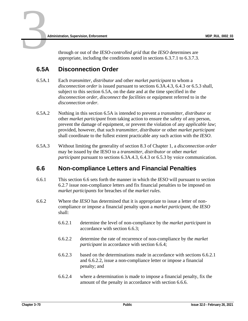Administration, Supervision, Enforcement<br>
through or out of the *IESO-controlled grid* that the *IESO* determines are<br>
appropriate, including the conditions noted in sections 6.3.7.1 to 6.3.7.3. through or out of the *IESO-controlled grid* that the *IESO* determines are appropriate, including the conditions noted in sections 6.3.7.1 to 6.3.7.3.

## **6.5A Disconnection Order**

- 6.5A.1 Each *transmitter, distributor* and other *market participant* to whom a *disconnection order* is issued pursuant to sections 6.3A.4.3, 6.4.3 or 6.5.3 shall, subject to this section 6.5A, on the date and at the time specified in the *disconnection order*, *disconnect* the *facilities* or equipment referred to in the *disconnection order*.
- 6.5A.2 Nothing in this section 6.5A is intended to prevent a *transmitter, distributor* or other *market participant* from taking action to ensure the safety of any person, prevent the damage of equipment, or prevent the violation of any *applicable law*; provided, however, that such *transmitter, distributor* or other *market participant*  shall coordinate to the fullest extent practicable any such action with the *IESO*.
- 6.5A.3 Without limiting the generality of section 8.3 of Chapter 1, a *disconnection order* may be issued by the IESO to a *transmitter, distributor* or other *market participant* pursuant to sections 6.3A.4.3, 6.4.3 or 6.5.3 by voice communication.

#### **6.6 Non-compliance Letters and Financial Penalties**

- 6.6.1 This section 6.6 sets forth the manner in which the *IESO* will pursuant to section 6.2.7 issue non-compliance letters and fix financial penalties to be imposed on *market participants* for breaches of the *market rules*.
- 6.6.2 Where the *IESO* has determined that it is appropriate to issue a letter of noncompliance or impose a financial penalty upon a *market participant*, the *IESO* shall:
	- 6.6.2.1 determine the level of non-compliance by the *market participant* in accordance with section 6.6.3;
	- 6.6.2.2 determine the rate of recurrence of non-compliance by the *market participant* in accordance with section 6.6.4;
	- 6.6.2.3 based on the determinations made in accordance with sections 6.6.2.1 and 6.6.2.2, issue a non-compliance letter or impose a financial penalty; and
	- 6.6.2.4 where a determination is made to impose a financial penalty, fix the amount of the penalty in accordance with section 6.6.6.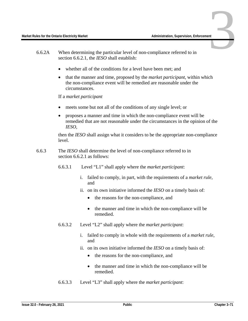- Market Rules for the Ontario Electricity Market<br> **Administration, Supervision, Enforcement**<br>
3.6.2.2.1 When determining the particular level of non-compliance referred to in<br>
3.5.2.1 Supervision 6.6.2.1, the *IESO* shall e 6.6.2A When determining the particular level of non-compliance referred to in section 6.6.2.1, the *IESO* shall establish:
	- whether all of the conditions for a level have been met; and
	- that the manner and time, proposed by the *market participant*, within which the non-compliance event will be remedied are reasonable under the circumstances.

If a *market participant*

- meets some but not all of the conditions of any single level; or
- proposes a manner and time in which the non-compliance event will be remedied that are not reasonable under the circumstances in the opinion of the *IESO*,

 then the *IESO* shall assign what it considers to be the appropriate non-compliance level.

- 6.6.3 The *IESO* shall determine the level of non-compliance referred to in section 6.6.2.1 as follows:
	- 6.6.3.1 Level "L1" shall apply where the *market participant*:
		- i. failed to comply, in part, with the requirements of a *market rule*, and
		- ii. on its own initiative informed the *IESO* on a timely basis of:
			- the reasons for the non-compliance, and
			- the manner and time in which the non-compliance will be remedied.
	- 6.6.3.2 Level "L2" shall apply where the *market participant*:
		- i. failed to comply in whole with the requirements of a *market rule*, and
		- ii. on its own initiative informed the *IESO* on a timely basis of:
			- the reasons for the non-compliance, and
			- the manner and time in which the non-compliance will be remedied.
	- 6.6.3.3 Level "L3" shall apply where the *market participant*: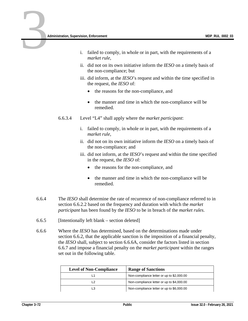- Administration, Supervision, Enforcement<br>
i. failed to comply, in whole or in part, with the requirements of a<br>
market rule, i. failed to comply, in whole or in part, with the requirements of a *market rule*,
	- ii. did not on its own initiative inform the *IESO* on a timely basis of the non-compliance; but
	- iii. did inform, at the *IESO*'s request and within the time specified in the request, the *IESO* of:
		- the reasons for the non-compliance, and
		- the manner and time in which the non-compliance will be remedied.
	- 6.6.3.4 Level "L4" shall apply where the *market participant*:
		- i. failed to comply, in whole or in part, with the requirements of a *market rule*,
		- ii. did not on its own initiative inform the *IESO* on a timely basis of the non-compliance; and
		- iii. did not inform, at the *IESO*'s request and within the time specified in the request, the *IESO* of:
			- the reasons for the non-compliance, and
			- the manner and time in which the non-compliance will be remedied.
	- 6.6.4 The *IESO* shall determine the rate of recurrence of non-compliance referred to in section 6.6.2.2 based on the frequency and duration with which the *market participant* has been found by the *IESO* to be in breach of the *market rules*.
	- 6.6.5 [Intentionally left blank section deleted]
	- 6.6.6 Where the *IESO* has determined, based on the determinations made under section 6.6.2, that the applicable sanction is the imposition of a financial penalty, the *IESO* shall, subject to section 6.6.6A, consider the factors listed in section 6.6.7 and impose a financial penalty on the *market participant* within the ranges set out in the following table.

| <b>Level of Non-Compliance</b> | <b>Range of Sanctions</b>                 |  |  |
|--------------------------------|-------------------------------------------|--|--|
|                                | Non-compliance letter or up to \$2,000.00 |  |  |
|                                | Non-compliance letter or up to \$4,000.00 |  |  |
| _3                             | Non-compliance letter or up to \$6,000.00 |  |  |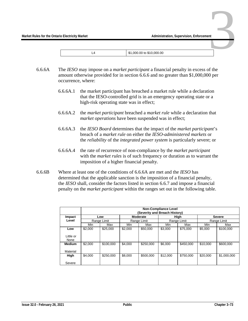| Market Rules for the Ontario Electricity Market |    | Administration, Supervision, Enforcement |  |  |  |
|-------------------------------------------------|----|------------------------------------------|--|--|--|
|                                                 |    |                                          |  |  |  |
|                                                 | L4 | \$1,000.00 to \$10,000.00                |  |  |  |
|                                                 |    |                                          |  |  |  |

- 6.6.6A The *IESO* may impose on a *market participant* a financial penalty in excess of the amount otherwise provided for in section 6.6.6 and no greater than \$1,000,000 per occurrence, where:
	- 6.6.6A.1 the market participant has breached a market rule while a declaration that the IESO-controlled grid is in an emergency operating state or a high-risk operating state was in effect;
	- 6.6.6A.2 the *market participant* breached a *market rule* while a declaration that *market operations* have been suspended was in effect;
	- 6.6.6A.3 the *IESO Board* determines that the impact of the *market participant*'s breach of a *market rule* on either the *IESO-administered markets* or the *reliability* of the *integrated power system* is particularly severe; or
	- 6.6.6A.4 the rate of recurrence of non-compliance by the *market participant* with the *market rules* is of such frequency or duration as to warrant the imposition of a higher financial penalty.
- 6.6.6B Where at least one of the conditions of 6.6.6A are met and the *IESO* has determined that the applicable sanction is the imposition of a financial penalty, the *IESO* shall, consider the factors listed in section 6.6.7 and impose a financial penalty on the *market participant* within the ranges set out in the following table.

|                   | <b>Non-Compliance Level</b><br>(Severity and Breach History) |             |                            |           |          |             |               |             |  |
|-------------------|--------------------------------------------------------------|-------------|----------------------------|-----------|----------|-------------|---------------|-------------|--|
| Impact            | Low                                                          |             | Moderate                   |           | High     |             | <b>Severe</b> |             |  |
| Level             |                                                              | Range Limit | Range Limit<br>Range Limit |           |          | Range Limit |               |             |  |
|                   | Min                                                          | Max         | Min                        | Max       | Min      | Max         | Min           | Max         |  |
| Low               | \$2,000                                                      | \$25,000    | \$2,000                    | \$50,000  | \$3,000  | \$75,000    | \$5,000       | \$100,000   |  |
| Little or<br>None |                                                              |             |                            |           |          |             |               |             |  |
| <b>Medium</b>     | \$2,000                                                      | \$100,000   | \$4.000                    | \$250,000 | \$6,000  | \$450,000   | \$10,000      | \$600,000   |  |
| Material          |                                                              |             |                            |           |          |             |               |             |  |
| High              | \$4,000                                                      | \$250,000   | \$8,000                    | \$500,000 | \$12,000 | \$750,000   | \$20,000      | \$1,000,000 |  |
| Severe            |                                                              |             |                            |           |          |             |               |             |  |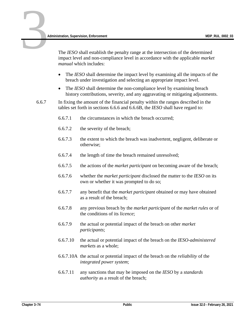Administration, Supervision, Enforcement<br>
33<br>
The *IESO* shall establish the penalty range at the intersection of the determined<br>
impact level and non-compliance level in accordance with the applicable *market* The *IESO* shall establish the penalty range at the intersection of the determined impact level and non-compliance level in accordance with the applicable *market manual* which includes:

- The *IESO* shall determine the impact level by examining all the impacts of the breach under investigation and selecting an appropriate impact level.
- The *IESO* shall determine the non-compliance level by examining breach history contributions, severity, and any aggravating or mitigating adjustments.
- 6.6.7 In fixing the amount of the financial penalty within the ranges described in the tables set forth in sections 6.6.6 and 6.6.6B, the *IESO* shall have regard to:
	- 6.6.7.1 the circumstances in which the breach occurred;
	- 6.6.7.2 the severity of the breach;
	- 6.6.7.3 the extent to which the breach was inadvertent, negligent, deliberate or otherwise;
	- 6.6.7.4 the length of time the breach remained unresolved;
	- 6.6.7.5 the actions of the *market participant* on becoming aware of the breach;
	- 6.6.7.6 whether the *market participant* disclosed the matter to the *IESO* on its own or whether it was prompted to do so;
	- 6.6.7.7 any benefit that the *market participant* obtained or may have obtained as a result of the breach;
	- 6.6.7.8 any previous breach by the *market participant* of the *market rules* or of the conditions of its *licence*;
	- 6.6.7.9 the actual or potential impact of the breach on other *market participants*;
	- 6.6.7.10 the actual or potential impact of the breach on the *IESO-administered markets* as a whole;
	- 6.6.7.10A the actual or potential impact of the breach on the *reliability* of the *integrated power system*;
	- 6.6.7.11 any sanctions that may be imposed on the *IESO* by a *standards authority* as a result of the breach;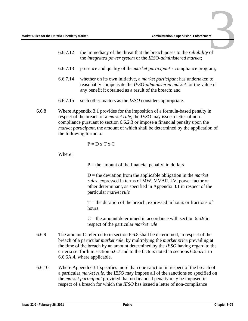- **Market Rules for the Ontario Electricity Market**<br> **Administration, Supervision, Enforcement**<br> **Administration, Supervision, Enforcement**<br> **3.6.6.7.12** the immediacy of the threat that the breach poses to the *reliability* 6.6.7.12 the immediacy of the threat that the breach poses to the *reliability* of the *integrated power system* or the *IESO-administered market*;
	- 6.6.7.13 presence and quality of the *market participant*'s compliance program;
	- 6.6.7.14 whether on its own initiative, a *market participant* has undertaken to reasonably compensate the *IESO-administered market* for the value of any benefit it obtained as a result of the breach; and
	- 6.6.7.15 such other matters as the *IESO* considers appropriate.
	- 6.6.8 Where Appendix 3.1 provides for the imposition of a formula-based penalty in respect of the breach of a *market rule*, the *IESO* may issue a letter of noncompliance pursuant to section 6.6.2.3 or impose a financial penalty upon the *market participant*, the amount of which shall be determined by the application of the following formula:

$$
P = D \times T \times C
$$

Where:

 $P =$  the amount of the financial penalty, in dollars

D = the deviation from the applicable obligation in the *market rules*, expressed in terms of MW, MVAR, kV, power factor or other determinant, as specified in Appendix 3.1 in respect of the particular *market rule*

 $T =$  the duration of the breach, expressed in hours or fractions of hours

 $C$  = the amount determined in accordance with section 6.6.9 in respect of the particular *market rule*

- 6.6.9 The amount C referred to in section 6.6.8 shall be determined, in respect of the breach of a particular *market rule*, by multiplying the *market price* prevailing at the time of the breach by an amount determined by the *IESO* having regard to the criteria set forth in section 6.6.7 and to the factors noted in sections 6.6.6A.1 to 6.6.6A.4, where applicable.
- 6.6.10 Where Appendix 3.1 specifies more than one sanction in respect of the breach of a particular *market rule*, the *IESO* may impose all of the sanctions so specified on the *market participant* provided that no financial penalty may be imposed in respect of a breach for which the *IESO* has issued a letter of non-compliance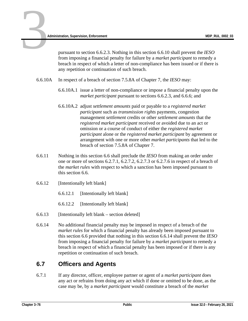Administration, Supervision, Enforcement<br>
pursuant to section 6.6.2.3. Nothing in this section 6.6.10 shall prevent the *IESO*<br>
from imposing a financial penalty for failure by a *market participant* to remedy a pursuant to section 6.6.2.3. Nothing in this section 6.6.10 shall prevent the *IESO* from imposing a financial penalty for failure by a *market participant* to remedy a breach in respect of which a letter of non-compliance has been issued or if there is any repetition or continuation of such breach.

- 6.6.10A In respect of a breach of section 7.5.8A of Chapter 7, the *IESO* may:
	- 6.6.10A.1 issue a letter of non-compliance or impose a financial penalty upon the *market participant* pursuant to sections 6.6.2.3, and 6.6.6; and
	- 6.6.10A.2 adjust *settlement amounts* paid or payable to a *registered market participant* such as *transmission rights* payments, congestion management *settlement* credits or other *settlement amounts* that the *registered market participant* received or avoided due to an act or omission or a course of conduct of either the *registered market participant* alone or the *registered market participant* by agreement or arrangement with one or more other *market participants* that led to the breach of section 7.5.8A of Chapter 7.
- 6.6.11 Nothing in this section 6.6 shall preclude the *IESO* from making an order under one or more of sections 6.2.7.1, 6.2.7.2, 6.2.7.3 or 6.2.7.6 in respect of a breach of the *market rules* with respect to which a sanction has been imposed pursuant to this section 6.6.
- 6.6.12 [Intentionally left blank]
	- 6.6.12.1 [Intentionally left blank]
	- 6.6.12.2 [Intentionally left blank]
- $6.6.13$  [Intentionally left blank section deleted]
- 6.6.14 No additional financial penalty may be imposed in respect of a breach of the *market rules* for which a financial penalty has already been imposed pursuant to this section 6.6 provided that nothing in this section 6.6.14 shall prevent the *IESO* from imposing a financial penalty for failure by a *market participant* to remedy a breach in respect of which a financial penalty has been imposed or if there is any repetition or continuation of such breach.

#### **6.7 Officers and Agents**

6.7.1 If any director, officer, employee partner or agent of a *market participant* does any act or refrains from doing any act which if done or omitted to be done, as the case may be, by a *market participant* would constitute a breach of the *market*